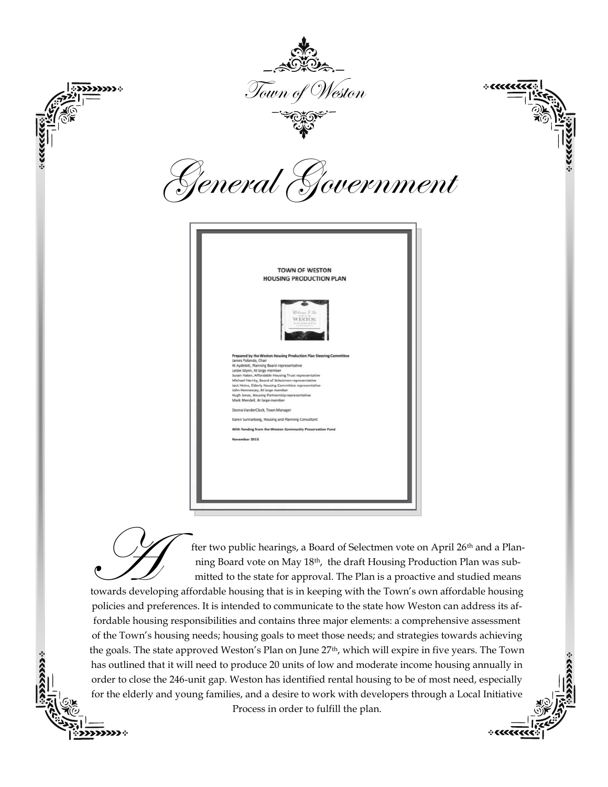

The two public hearings, a Board of Selectmen vote on April 26<sup>th</sup> and a Plan-<br>ning Board vote on May 18<sup>th</sup>, the draft Housing Production Plan was sub-<br>mitted to the state for approval. The Plan is a proactive and studied ning Board vote on May 18th, the draft Housing Production Plan was submitted to the state for approval. The Plan is a proactive and studied means

 $+$ 

policies and preferences. It is intended to communicate to the state how Weston can address its affordable housing responsibilities and contains three major elements: a comprehensive assessment of the Town's housing needs; housing goals to meet those needs; and strategies towards achieving the goals. The state approved Weston's Plan on June 27<sup>th</sup>, which will expire in five years. The Town has outlined that it will need to produce 20 units of low and moderate income housing annually in order to close the 246-unit gap. Weston has identified rental housing to be of most need, especially for the elderly and young families, and a desire to work with developers through a Local Initiative



Process in order to fulfill the plan.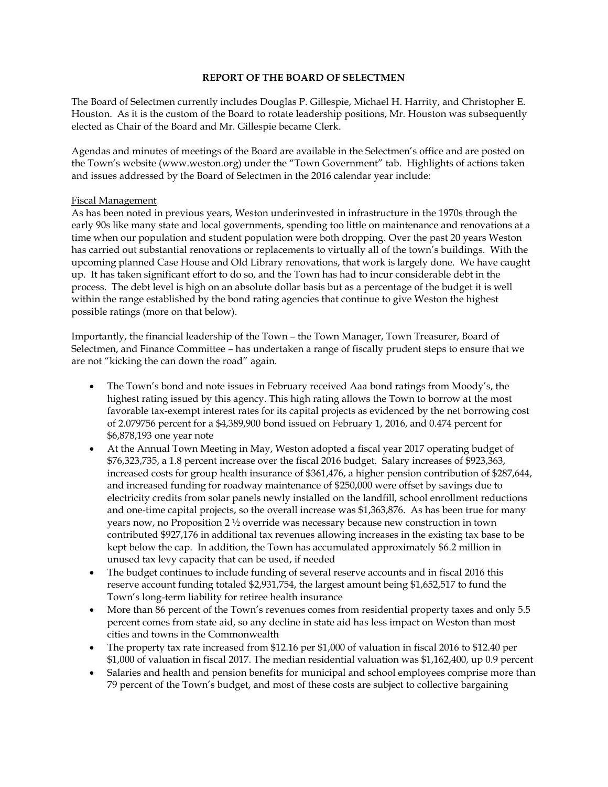## **REPORT OF THE BOARD OF SELECTMEN**

The Board of Selectmen currently includes Douglas P. Gillespie, Michael H. Harrity, and Christopher E. Houston. As it is the custom of the Board to rotate leadership positions, Mr. Houston was subsequently elected as Chair of the Board and Mr. Gillespie became Clerk.

Agendas and minutes of meetings of the Board are available in the Selectmen's office and are posted on the Town's website (www.weston.org) under the "Town Government" tab. Highlights of actions taken and issues addressed by the Board of Selectmen in the 2016 calendar year include:

## Fiscal Management

As has been noted in previous years, Weston underinvested in infrastructure in the 1970s through the early 90s like many state and local governments, spending too little on maintenance and renovations at a time when our population and student population were both dropping. Over the past 20 years Weston has carried out substantial renovations or replacements to virtually all of the town's buildings. With the upcoming planned Case House and Old Library renovations, that work is largely done. We have caught up. It has taken significant effort to do so, and the Town has had to incur considerable debt in the process. The debt level is high on an absolute dollar basis but as a percentage of the budget it is well within the range established by the bond rating agencies that continue to give Weston the highest possible ratings (more on that below).

Importantly, the financial leadership of the Town – the Town Manager, Town Treasurer, Board of Selectmen, and Finance Committee – has undertaken a range of fiscally prudent steps to ensure that we are not "kicking the can down the road" again.

- The Town's bond and note issues in February received Aaa bond ratings from Moody's, the highest rating issued by this agency. This high rating allows the Town to borrow at the most favorable tax-exempt interest rates for its capital projects as evidenced by the net borrowing cost of 2.079756 percent for a \$4,389,900 bond issued on February 1, 2016, and 0.474 percent for \$6,878,193 one year note
- At the Annual Town Meeting in May, Weston adopted a fiscal year 2017 operating budget of \$76,323,735, a 1.8 percent increase over the fiscal 2016 budget. Salary increases of \$923,363, increased costs for group health insurance of \$361,476, a higher pension contribution of \$287,644, and increased funding for roadway maintenance of \$250,000 were offset by savings due to electricity credits from solar panels newly installed on the landfill, school enrollment reductions and one-time capital projects, so the overall increase was \$1,363,876. As has been true for many years now, no Proposition 2 ½ override was necessary because new construction in town contributed \$927,176 in additional tax revenues allowing increases in the existing tax base to be kept below the cap. In addition, the Town has accumulated approximately \$6.2 million in unused tax levy capacity that can be used, if needed
- The budget continues to include funding of several reserve accounts and in fiscal 2016 this reserve account funding totaled \$2,931,754, the largest amount being \$1,652,517 to fund the Town's long-term liability for retiree health insurance
- More than 86 percent of the Town's revenues comes from residential property taxes and only 5.5 percent comes from state aid, so any decline in state aid has less impact on Weston than most cities and towns in the Commonwealth
- The property tax rate increased from \$12.16 per \$1,000 of valuation in fiscal 2016 to \$12.40 per \$1,000 of valuation in fiscal 2017. The median residential valuation was \$1,162,400, up 0.9 percent
- Salaries and health and pension benefits for municipal and school employees comprise more than 79 percent of the Town's budget, and most of these costs are subject to collective bargaining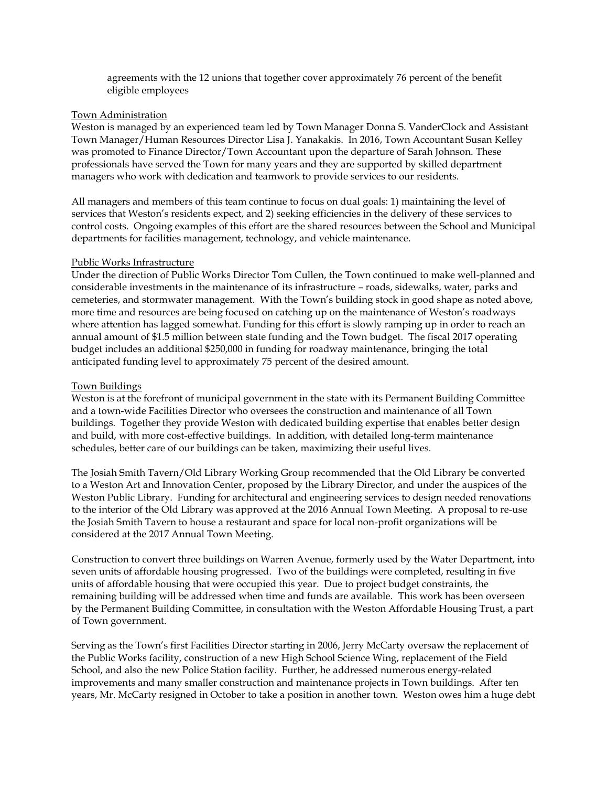agreements with the 12 unions that together cover approximately 76 percent of the benefit eligible employees

#### Town Administration

Weston is managed by an experienced team led by Town Manager Donna S. VanderClock and Assistant Town Manager/Human Resources Director Lisa J. Yanakakis. In 2016, Town Accountant Susan Kelley was promoted to Finance Director/Town Accountant upon the departure of Sarah Johnson. These professionals have served the Town for many years and they are supported by skilled department managers who work with dedication and teamwork to provide services to our residents.

All managers and members of this team continue to focus on dual goals: 1) maintaining the level of services that Weston's residents expect, and 2) seeking efficiencies in the delivery of these services to control costs. Ongoing examples of this effort are the shared resources between the School and Municipal departments for facilities management, technology, and vehicle maintenance.

#### Public Works Infrastructure

Under the direction of Public Works Director Tom Cullen, the Town continued to make well-planned and considerable investments in the maintenance of its infrastructure – roads, sidewalks, water, parks and cemeteries, and stormwater management. With the Town's building stock in good shape as noted above, more time and resources are being focused on catching up on the maintenance of Weston's roadways where attention has lagged somewhat. Funding for this effort is slowly ramping up in order to reach an annual amount of \$1.5 million between state funding and the Town budget. The fiscal 2017 operating budget includes an additional \$250,000 in funding for roadway maintenance, bringing the total anticipated funding level to approximately 75 percent of the desired amount.

#### Town Buildings

Weston is at the forefront of municipal government in the state with its Permanent Building Committee and a town-wide Facilities Director who oversees the construction and maintenance of all Town buildings. Together they provide Weston with dedicated building expertise that enables better design and build, with more cost-effective buildings. In addition, with detailed long-term maintenance schedules, better care of our buildings can be taken, maximizing their useful lives.

The Josiah Smith Tavern/Old Library Working Group recommended that the Old Library be converted to a Weston Art and Innovation Center, proposed by the Library Director, and under the auspices of the Weston Public Library. Funding for architectural and engineering services to design needed renovations to the interior of the Old Library was approved at the 2016 Annual Town Meeting. A proposal to re-use the Josiah Smith Tavern to house a restaurant and space for local non-profit organizations will be considered at the 2017 Annual Town Meeting.

Construction to convert three buildings on Warren Avenue, formerly used by the Water Department, into seven units of affordable housing progressed. Two of the buildings were completed, resulting in five units of affordable housing that were occupied this year. Due to project budget constraints, the remaining building will be addressed when time and funds are available. This work has been overseen by the Permanent Building Committee, in consultation with the Weston Affordable Housing Trust, a part of Town government.

Serving as the Town's first Facilities Director starting in 2006, Jerry McCarty oversaw the replacement of the Public Works facility, construction of a new High School Science Wing, replacement of the Field School, and also the new Police Station facility. Further, he addressed numerous energy-related improvements and many smaller construction and maintenance projects in Town buildings. After ten years, Mr. McCarty resigned in October to take a position in another town. Weston owes him a huge debt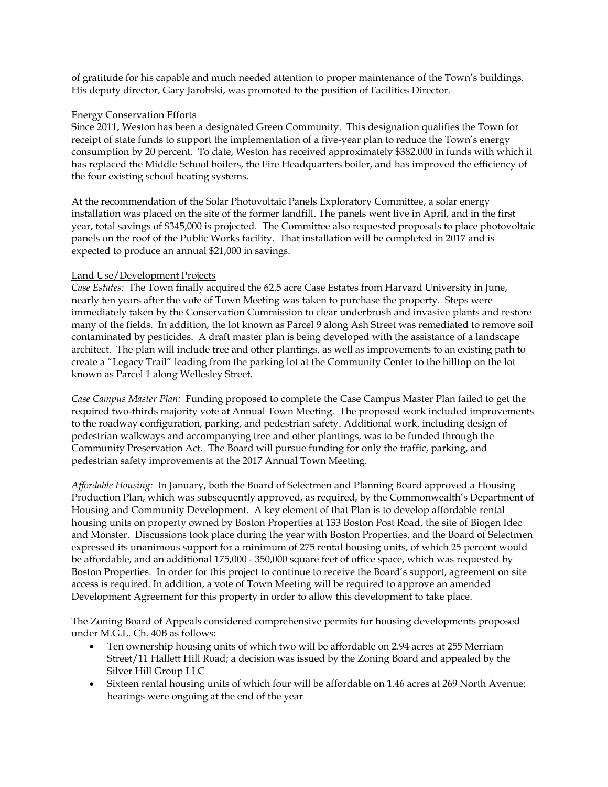of gratitude for his capable and much needed attention to proper maintenance of the Town's buildings. His deputy director, Gary Jarobski, was promoted to the position of Facilities Director.

## Energy Conservation Efforts

Since 2011, Weston has been a designated Green Community. This designation qualifies the Town for receipt of state funds to support the implementation of a five-year plan to reduce the Town's energy consumption by 20 percent. To date, Weston has received approximately \$382,000 in funds with which it has replaced the Middle School boilers, the Fire Headquarters boiler, and has improved the efficiency of the four existing school heating systems.

At the recommendation of the Solar Photovoltaic Panels Exploratory Committee, a solar energy installation was placed on the site of the former landfill. The panels went live in April, and in the first year, total savings of \$345,000 is projected. The Committee also requested proposals to place photovoltaic panels on the roof of the Public Works facility. That installation will be completed in 2017 and is expected to produce an annual \$21,000 in savings.

## Land Use/Development Projects

*Case Estates:* The Town finally acquired the 62.5 acre Case Estates from Harvard University in June, nearly ten years after the vote of Town Meeting was taken to purchase the property. Steps were immediately taken by the Conservation Commission to clear underbrush and invasive plants and restore many of the fields. In addition, the lot known as Parcel 9 along Ash Street was remediated to remove soil contaminated by pesticides. A draft master plan is being developed with the assistance of a landscape architect. The plan will include tree and other plantings, as well as improvements to an existing path to create a "Legacy Trail" leading from the parking lot at the Community Center to the hilltop on the lot known as Parcel 1 along Wellesley Street.

*Case Campus Master Plan:* Funding proposed to complete the Case Campus Master Plan failed to get the required two-thirds majority vote at Annual Town Meeting. The proposed work included improvements to the roadway configuration, parking, and pedestrian safety. Additional work, including design of pedestrian walkways and accompanying tree and other plantings, was to be funded through the Community Preservation Act. The Board will pursue funding for only the traffic, parking, and pedestrian safety improvements at the 2017 Annual Town Meeting.

*Affordable Housing:* In January, both the Board of Selectmen and Planning Board approved a Housing Production Plan, which was subsequently approved, as required, by the Commonwealth's Department of Housing and Community Development. A key element of that Plan is to develop affordable rental housing units on property owned by Boston Properties at 133 Boston Post Road, the site of Biogen Idec and Monster. Discussions took place during the year with Boston Properties, and the Board of Selectmen expressed its unanimous support for a minimum of 275 rental housing units, of which 25 percent would be affordable, and an additional 175,000 - 350,000 square feet of office space, which was requested by Boston Properties. In order for this project to continue to receive the Board's support, agreement on site access is required. In addition, a vote of Town Meeting will be required to approve an amended Development Agreement for this property in order to allow this development to take place.

The Zoning Board of Appeals considered comprehensive permits for housing developments proposed under M.G.L. Ch. 40B as follows:

- Ten ownership housing units of which two will be affordable on 2.94 acres at 255 Merriam Street/11 Hallett Hill Road; a decision was issued by the Zoning Board and appealed by the Silver Hill Group LLC
- Sixteen rental housing units of which four will be affordable on 1.46 acres at 269 North Avenue; hearings were ongoing at the end of the year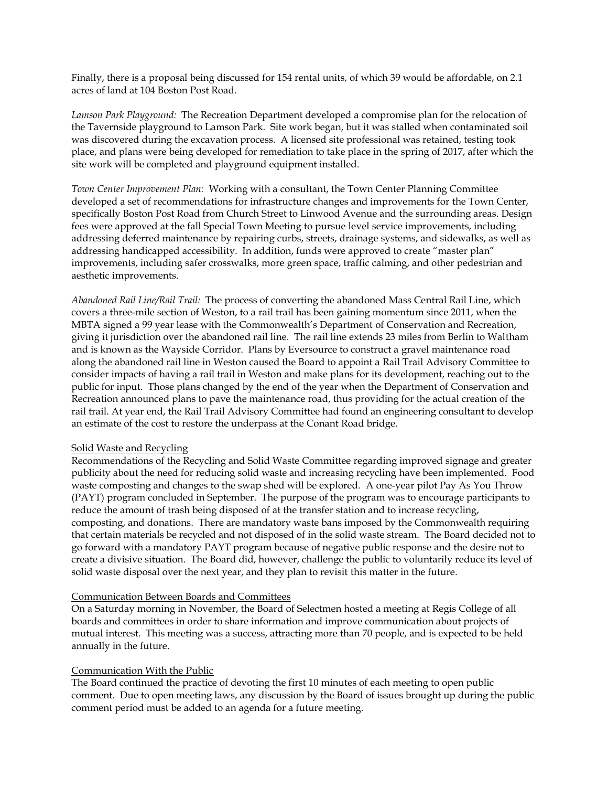Finally, there is a proposal being discussed for 154 rental units, of which 39 would be affordable, on 2.1 acres of land at 104 Boston Post Road.

*Lamson Park Playground:* The Recreation Department developed a compromise plan for the relocation of the Tavernside playground to Lamson Park. Site work began, but it was stalled when contaminated soil was discovered during the excavation process. A licensed site professional was retained, testing took place, and plans were being developed for remediation to take place in the spring of 2017, after which the site work will be completed and playground equipment installed.

*Town Center Improvement Plan:* Working with a consultant, the Town Center Planning Committee developed a set of recommendations for infrastructure changes and improvements for the Town Center, specifically Boston Post Road from Church Street to Linwood Avenue and the surrounding areas. Design fees were approved at the fall Special Town Meeting to pursue level service improvements, including addressing deferred maintenance by repairing curbs, streets, drainage systems, and sidewalks, as well as addressing handicapped accessibility. In addition, funds were approved to create "master plan" improvements, including safer crosswalks, more green space, traffic calming, and other pedestrian and aesthetic improvements.

*Abandoned Rail Line/Rail Trail:* The process of converting the abandoned Mass Central Rail Line, which covers a three-mile section of Weston, to a rail trail has been gaining momentum since 2011, when the MBTA signed a 99 year lease with the Commonwealth's Department of Conservation and Recreation, giving it jurisdiction over the abandoned rail line. The rail line extends 23 miles from Berlin to Waltham and is known as the Wayside Corridor. Plans by Eversource to construct a gravel maintenance road along the abandoned rail line in Weston caused the Board to appoint a Rail Trail Advisory Committee to consider impacts of having a rail trail in Weston and make plans for its development, reaching out to the public for input. Those plans changed by the end of the year when the Department of Conservation and Recreation announced plans to pave the maintenance road, thus providing for the actual creation of the rail trail. At year end, the Rail Trail Advisory Committee had found an engineering consultant to develop an estimate of the cost to restore the underpass at the Conant Road bridge.

## Solid Waste and Recycling

Recommendations of the Recycling and Solid Waste Committee regarding improved signage and greater publicity about the need for reducing solid waste and increasing recycling have been implemented. Food waste composting and changes to the swap shed will be explored. A one-year pilot Pay As You Throw (PAYT) program concluded in September. The purpose of the program was to encourage participants to reduce the amount of trash being disposed of at the transfer station and to increase recycling, composting, and donations. There are mandatory waste bans imposed by the Commonwealth requiring that certain materials be recycled and not disposed of in the solid waste stream. The Board decided not to go forward with a mandatory PAYT program because of negative public response and the desire not to create a divisive situation. The Board did, however, challenge the public to voluntarily reduce its level of solid waste disposal over the next year, and they plan to revisit this matter in the future.

## Communication Between Boards and Committees

On a Saturday morning in November, the Board of Selectmen hosted a meeting at Regis College of all boards and committees in order to share information and improve communication about projects of mutual interest. This meeting was a success, attracting more than 70 people, and is expected to be held annually in the future.

## Communication With the Public

The Board continued the practice of devoting the first 10 minutes of each meeting to open public comment. Due to open meeting laws, any discussion by the Board of issues brought up during the public comment period must be added to an agenda for a future meeting.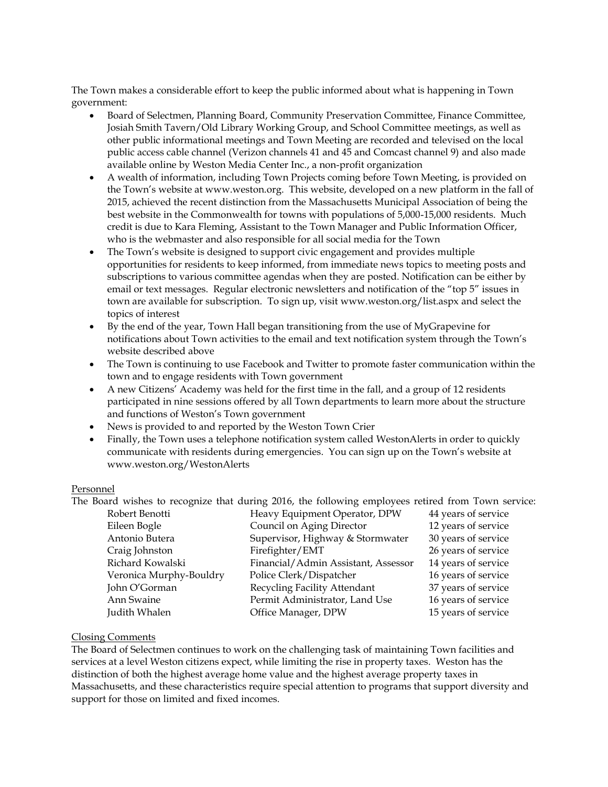The Town makes a considerable effort to keep the public informed about what is happening in Town government:

- Board of Selectmen, Planning Board, Community Preservation Committee, Finance Committee, Josiah Smith Tavern/Old Library Working Group, and School Committee meetings, as well as other public informational meetings and Town Meeting are recorded and televised on the local public access cable channel (Verizon channels 41 and 45 and Comcast channel 9) and also made available online by Weston Media Center Inc., a non-profit organization
- A wealth of information, including Town Projects coming before Town Meeting, is provided on the Town's website at www.weston.org. This website, developed on a new platform in the fall of 2015, achieved the recent distinction from the Massachusetts Municipal Association of being the best website in the Commonwealth for towns with populations of 5,000-15,000 residents. Much credit is due to Kara Fleming, Assistant to the Town Manager and Public Information Officer, who is the webmaster and also responsible for all social media for the Town
- The Town's website is designed to support civic engagement and provides multiple opportunities for residents to keep informed, from immediate news topics to meeting posts and subscriptions to various committee agendas when they are posted. Notification can be either by email or text messages. Regular electronic newsletters and notification of the "top 5" issues in town are available for subscription. To sign up, visit www.weston.org/list.aspx and select the topics of interest
- By the end of the year, Town Hall began transitioning from the use of MyGrapevine for notifications about Town activities to the email and text notification system through the Town's website described above
- The Town is continuing to use Facebook and Twitter to promote faster communication within the town and to engage residents with Town government
- A new Citizens' Academy was held for the first time in the fall, and a group of 12 residents participated in nine sessions offered by all Town departments to learn more about the structure and functions of Weston's Town government
- News is provided to and reported by the Weston Town Crier
- Finally, the Town uses a telephone notification system called WestonAlerts in order to quickly communicate with residents during emergencies. You can sign up on the Town's website at www.weston.org/WestonAlerts

## Personnel

The Board wishes to recognize that during 2016, the following employees retired from Town service:

| Robert Benotti          | Heavy Equipment Operator, DPW       | 44 years of service |
|-------------------------|-------------------------------------|---------------------|
| Eileen Bogle            | Council on Aging Director           | 12 years of service |
| Antonio Butera          | Supervisor, Highway & Stormwater    | 30 years of service |
| Craig Johnston          | Firefighter/EMT                     | 26 years of service |
| Richard Kowalski        | Financial/Admin Assistant, Assessor | 14 years of service |
| Veronica Murphy-Bouldry | Police Clerk/Dispatcher             | 16 years of service |
| John O'Gorman           | Recycling Facility Attendant        | 37 years of service |
| Ann Swaine              | Permit Administrator, Land Use      | 16 years of service |
| Judith Whalen           | Office Manager, DPW                 | 15 years of service |
|                         |                                     |                     |

## Closing Comments

The Board of Selectmen continues to work on the challenging task of maintaining Town facilities and services at a level Weston citizens expect, while limiting the rise in property taxes. Weston has the distinction of both the highest average home value and the highest average property taxes in Massachusetts, and these characteristics require special attention to programs that support diversity and support for those on limited and fixed incomes.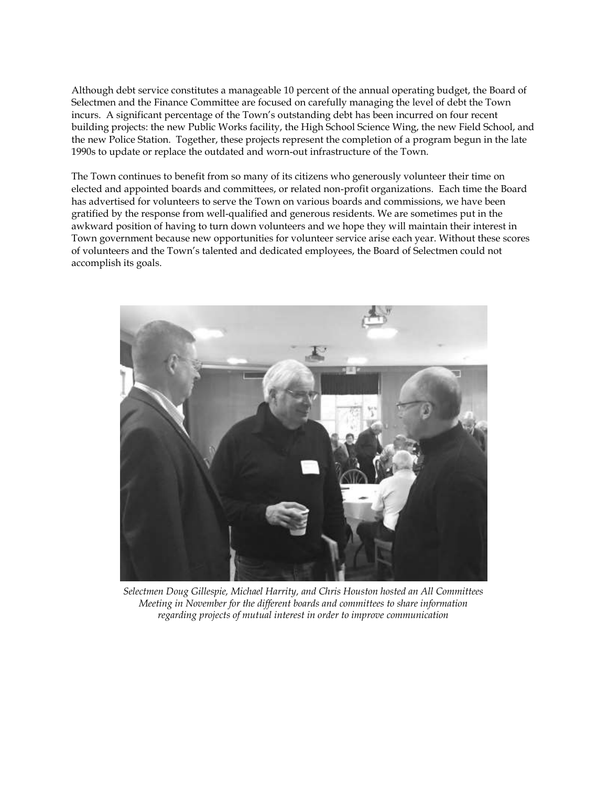Although debt service constitutes a manageable 10 percent of the annual operating budget, the Board of Selectmen and the Finance Committee are focused on carefully managing the level of debt the Town incurs. A significant percentage of the Town's outstanding debt has been incurred on four recent building projects: the new Public Works facility, the High School Science Wing, the new Field School, and the new Police Station. Together, these projects represent the completion of a program begun in the late 1990s to update or replace the outdated and worn-out infrastructure of the Town.

The Town continues to benefit from so many of its citizens who generously volunteer their time on elected and appointed boards and committees, or related non-profit organizations. Each time the Board has advertised for volunteers to serve the Town on various boards and commissions, we have been gratified by the response from well-qualified and generous residents. We are sometimes put in the awkward position of having to turn down volunteers and we hope they will maintain their interest in Town government because new opportunities for volunteer service arise each year. Without these scores of volunteers and the Town's talented and dedicated employees, the Board of Selectmen could not accomplish its goals.



*Selectmen Doug Gillespie, Michael Harrity, and Chris Houston hosted an All Committees Meeting in November for the different boards and committees to share information regarding projects of mutual interest in order to improve communication*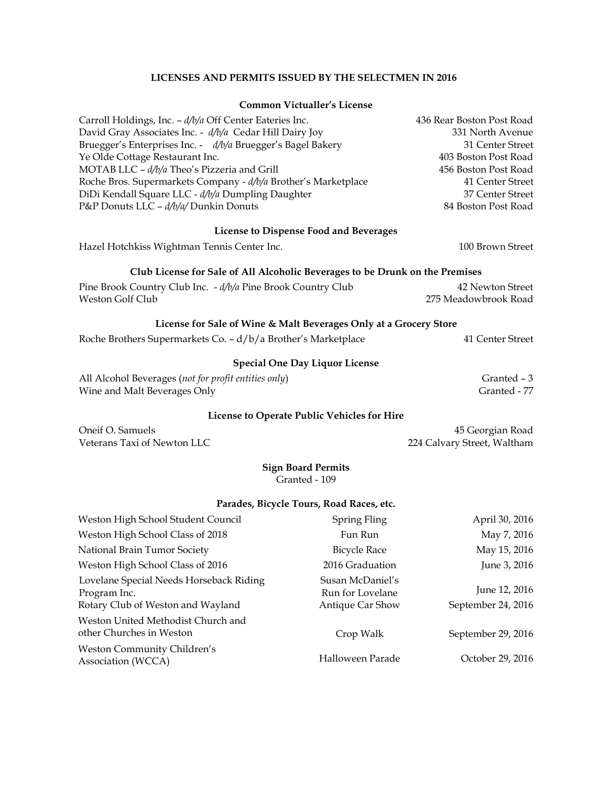## **LICENSES AND PERMITS ISSUED BY THE SELECTMEN IN 2016**

#### **Common Victualler's License**

| Carroll Holdings, Inc. - d/b/a Off Center Eateries Inc.        | 436 Rear Boston Post Road |
|----------------------------------------------------------------|---------------------------|
| David Gray Associates Inc. - d/b/a Cedar Hill Dairy Joy        | 331 North Avenue          |
| Bruegger's Enterprises Inc. - d/b/a Bruegger's Bagel Bakery    | 31 Center Street          |
| Ye Olde Cottage Restaurant Inc.                                | 403 Boston Post Road      |
| MOTAB LLC - d/b/a Theo's Pizzeria and Grill                    | 456 Boston Post Road      |
| Roche Bros. Supermarkets Company - d/b/a Brother's Marketplace | 41 Center Street          |
| DiDi Kendall Square LLC - d/b/a Dumpling Daughter              | 37 Center Street          |
| P&P Donuts LLC - d/b/a/ Dunkin Donuts                          | 84 Boston Post Road       |
|                                                                |                           |
| Licansa to Dispansa Food and Ravarages                         |                           |

**License to Dispense Food and Beverages**

Hazel Hotchkiss Wightman Tennis Center Inc. 100 Brown Street

# **Club License for Sale of All Alcoholic Beverages to be Drunk on the Premises**

| Pine Brook Country Club Inc. - d/b/a Pine Brook Country Club | 42 Newton Street     |
|--------------------------------------------------------------|----------------------|
| Weston Golf Club                                             | 275 Meadowbrook Road |

## **License for Sale of Wine & Malt Beverages Only at a Grocery Store**

| Roche Brothers Supermarkets Co. - d/b/a Brother's Marketplace | 41 Center Street |
|---------------------------------------------------------------|------------------|
|---------------------------------------------------------------|------------------|

# **Special One Day Liquor License**

| All Alcohol Beverages (not for profit entities only) | Granted - 3  |
|------------------------------------------------------|--------------|
| Wine and Malt Beverages Only                         | Granted - 77 |

# **License to Operate Public Vehicles for Hire**

| Oneif O. Samuels            |
|-----------------------------|
| Veterans Taxi of Newton LLC |

45 Georgian Road 224 Calvary Street, Waltham

#### **Sign Board Permits** Granted - 109

#### **Parades, Bicycle Tours, Road Races, etc.**

| Weston High School Student Council                                                           | Spring Fling                                             | April 30, 2016                      |
|----------------------------------------------------------------------------------------------|----------------------------------------------------------|-------------------------------------|
| Weston High School Class of 2018                                                             | Fun Run                                                  | May 7, 2016                         |
| National Brain Tumor Society                                                                 | <b>Bicycle Race</b>                                      | May 15, 2016                        |
| Weston High School Class of 2016                                                             | 2016 Graduation                                          | June 3, 2016                        |
| Lovelane Special Needs Horseback Riding<br>Program Inc.<br>Rotary Club of Weston and Wayland | Susan McDaniel's<br>Run for Lovelane<br>Antique Car Show | June 12, 2016<br>September 24, 2016 |
| Weston United Methodist Church and<br>other Churches in Weston                               | Crop Walk                                                | September 29, 2016                  |
| Weston Community Children's<br>Association (WCCA)                                            | Halloween Parade                                         | October 29, 2016                    |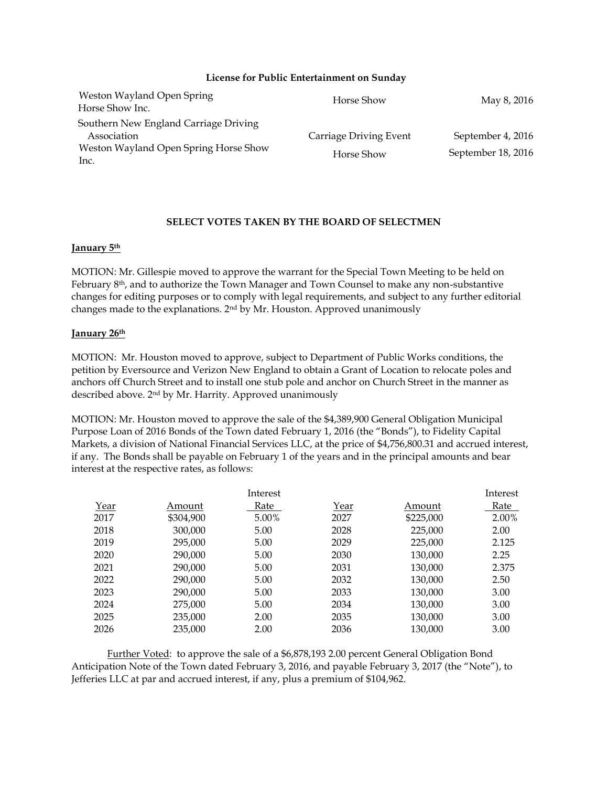#### **License for Public Entertainment on Sunday**

| Weston Wayland Open Spring<br>Horse Show Inc.                                                         | Horse Show                           | May 8, 2016                             |
|-------------------------------------------------------------------------------------------------------|--------------------------------------|-----------------------------------------|
| Southern New England Carriage Driving<br>Association<br>Weston Wayland Open Spring Horse Show<br>Inc. | Carriage Driving Event<br>Horse Show | September 4, 2016<br>September 18, 2016 |

## **SELECT VOTES TAKEN BY THE BOARD OF SELECTMEN**

## **January 5th**

MOTION: Mr. Gillespie moved to approve the warrant for the Special Town Meeting to be held on February 8<sup>th</sup>, and to authorize the Town Manager and Town Counsel to make any non-substantive changes for editing purposes or to comply with legal requirements, and subject to any further editorial changes made to the explanations. 2nd by Mr. Houston. Approved unanimously

## **January 26th**

MOTION: Mr. Houston moved to approve, subject to Department of Public Works conditions, the petition by Eversource and Verizon New England to obtain a Grant of Location to relocate poles and anchors off Church Street and to install one stub pole and anchor on Church Street in the manner as described above. 2nd by Mr. Harrity. Approved unanimously

MOTION: Mr. Houston moved to approve the sale of the \$4,389,900 General Obligation Municipal Purpose Loan of 2016 Bonds of the Town dated February 1, 2016 (the "Bonds"), to Fidelity Capital Markets, a division of National Financial Services LLC, at the price of \$4,756,800.31 and accrued interest, if any. The Bonds shall be payable on February 1 of the years and in the principal amounts and bear interest at the respective rates, as follows:

|      |           | Interest |      |           | Interest |
|------|-----------|----------|------|-----------|----------|
| Year | Amount    | Rate     | Year | Amount    | Rate     |
| 2017 | \$304,900 | 5.00%    | 2027 | \$225,000 | 2.00%    |
| 2018 | 300,000   | 5.00     | 2028 | 225,000   | 2.00     |
| 2019 | 295,000   | 5.00     | 2029 | 225,000   | 2.125    |
| 2020 | 290,000   | 5.00     | 2030 | 130,000   | 2.25     |
| 2021 | 290,000   | 5.00     | 2031 | 130,000   | 2.375    |
| 2022 | 290,000   | 5.00     | 2032 | 130,000   | 2.50     |
| 2023 | 290,000   | 5.00     | 2033 | 130,000   | 3.00     |
| 2024 | 275,000   | 5.00     | 2034 | 130,000   | 3.00     |
| 2025 | 235,000   | 2.00     | 2035 | 130,000   | 3.00     |
| 2026 | 235,000   | 2.00     | 2036 | 130,000   | 3.00     |

Further Voted: to approve the sale of a \$6,878,193 2.00 percent General Obligation Bond Anticipation Note of the Town dated February 3, 2016, and payable February 3, 2017 (the "Note"), to Jefferies LLC at par and accrued interest, if any, plus a premium of \$104,962.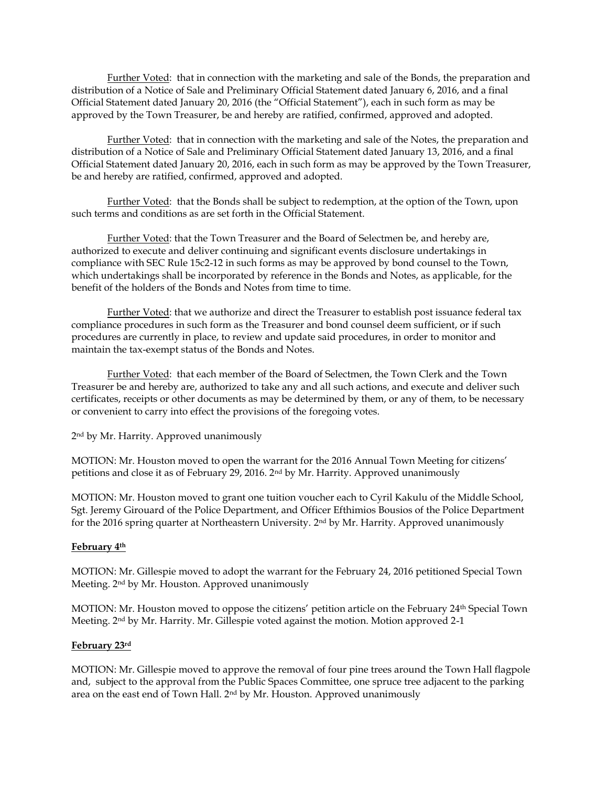Further Voted: that in connection with the marketing and sale of the Bonds, the preparation and distribution of a Notice of Sale and Preliminary Official Statement dated January 6, 2016, and a final Official Statement dated January 20, 2016 (the "Official Statement"), each in such form as may be approved by the Town Treasurer, be and hereby are ratified, confirmed, approved and adopted.

Further Voted: that in connection with the marketing and sale of the Notes, the preparation and distribution of a Notice of Sale and Preliminary Official Statement dated January 13, 2016, and a final Official Statement dated January 20, 2016, each in such form as may be approved by the Town Treasurer, be and hereby are ratified, confirmed, approved and adopted.

Further Voted: that the Bonds shall be subject to redemption, at the option of the Town, upon such terms and conditions as are set forth in the Official Statement.

Further Voted: that the Town Treasurer and the Board of Selectmen be, and hereby are, authorized to execute and deliver continuing and significant events disclosure undertakings in compliance with SEC Rule 15c2-12 in such forms as may be approved by bond counsel to the Town, which undertakings shall be incorporated by reference in the Bonds and Notes, as applicable, for the benefit of the holders of the Bonds and Notes from time to time.

Further Voted: that we authorize and direct the Treasurer to establish post issuance federal tax compliance procedures in such form as the Treasurer and bond counsel deem sufficient, or if such procedures are currently in place, to review and update said procedures, in order to monitor and maintain the tax-exempt status of the Bonds and Notes.

Further Voted: that each member of the Board of Selectmen, the Town Clerk and the Town Treasurer be and hereby are, authorized to take any and all such actions, and execute and deliver such certificates, receipts or other documents as may be determined by them, or any of them, to be necessary or convenient to carry into effect the provisions of the foregoing votes.

2 nd by Mr. Harrity. Approved unanimously

MOTION: Mr. Houston moved to open the warrant for the 2016 Annual Town Meeting for citizens' petitions and close it as of February 29, 2016. 2nd by Mr. Harrity. Approved unanimously

MOTION: Mr. Houston moved to grant one tuition voucher each to Cyril Kakulu of the Middle School, Sgt. Jeremy Girouard of the Police Department, and Officer Efthimios Bousios of the Police Department for the 2016 spring quarter at Northeastern University. 2<sup>nd</sup> by Mr. Harrity. Approved unanimously

# **February 4th**

MOTION: Mr. Gillespie moved to adopt the warrant for the February 24, 2016 petitioned Special Town Meeting. 2nd by Mr. Houston. Approved unanimously

MOTION: Mr. Houston moved to oppose the citizens' petition article on the February 24th Special Town Meeting. 2nd by Mr. Harrity. Mr. Gillespie voted against the motion. Motion approved 2-1

## **February 23rd**

MOTION: Mr. Gillespie moved to approve the removal of four pine trees around the Town Hall flagpole and, subject to the approval from the Public Spaces Committee, one spruce tree adjacent to the parking area on the east end of Town Hall. 2nd by Mr. Houston. Approved unanimously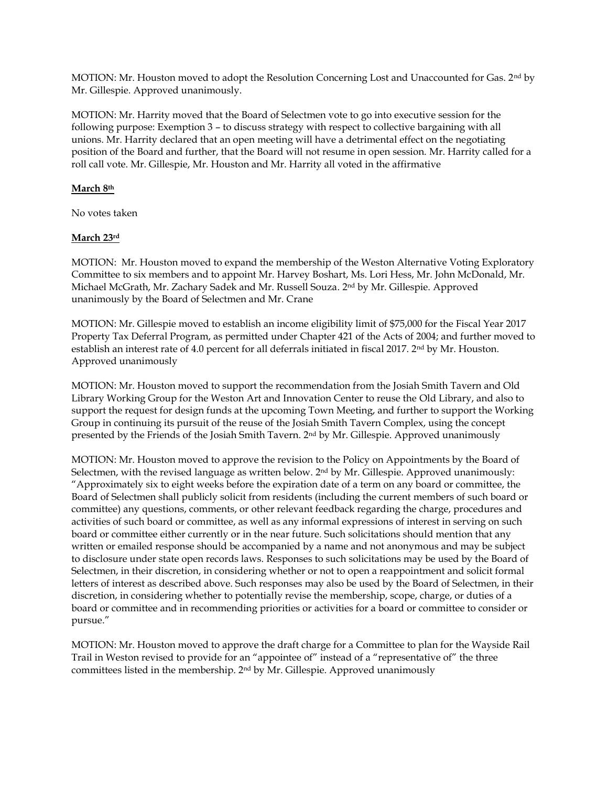MOTION: Mr. Houston moved to adopt the Resolution Concerning Lost and Unaccounted for Gas. 2nd by Mr. Gillespie. Approved unanimously.

MOTION: Mr. Harrity moved that the Board of Selectmen vote to go into executive session for the following purpose: Exemption 3 – to discuss strategy with respect to collective bargaining with all unions. Mr. Harrity declared that an open meeting will have a detrimental effect on the negotiating position of the Board and further, that the Board will not resume in open session. Mr. Harrity called for a roll call vote. Mr. Gillespie, Mr. Houston and Mr. Harrity all voted in the affirmative

# **March 8th**

No votes taken

## **March 23rd**

MOTION: Mr. Houston moved to expand the membership of the Weston Alternative Voting Exploratory Committee to six members and to appoint Mr. Harvey Boshart, Ms. Lori Hess, Mr. John McDonald, Mr. Michael McGrath, Mr. Zachary Sadek and Mr. Russell Souza. 2 nd by Mr. Gillespie. Approved unanimously by the Board of Selectmen and Mr. Crane

MOTION: Mr. Gillespie moved to establish an income eligibility limit of \$75,000 for the Fiscal Year 2017 Property Tax Deferral Program, as permitted under Chapter 421 of the Acts of 2004; and further moved to establish an interest rate of 4.0 percent for all deferrals initiated in fiscal 2017. 2<sup>nd</sup> by Mr. Houston. Approved unanimously

MOTION: Mr. Houston moved to support the recommendation from the Josiah Smith Tavern and Old Library Working Group for the Weston Art and Innovation Center to reuse the Old Library, and also to support the request for design funds at the upcoming Town Meeting, and further to support the Working Group in continuing its pursuit of the reuse of the Josiah Smith Tavern Complex, using the concept presented by the Friends of the Josiah Smith Tavern. 2nd by Mr. Gillespie. Approved unanimously

MOTION: Mr. Houston moved to approve the revision to the Policy on Appointments by the Board of Selectmen, with the revised language as written below. 2nd by Mr. Gillespie. Approved unanimously: "Approximately six to eight weeks before the expiration date of a term on any board or committee, the Board of Selectmen shall publicly solicit from residents (including the current members of such board or committee) any questions, comments, or other relevant feedback regarding the charge, procedures and activities of such board or committee, as well as any informal expressions of interest in serving on such board or committee either currently or in the near future. Such solicitations should mention that any written or emailed response should be accompanied by a name and not anonymous and may be subject to disclosure under state open records laws. Responses to such solicitations may be used by the Board of Selectmen, in their discretion, in considering whether or not to open a reappointment and solicit formal letters of interest as described above. Such responses may also be used by the Board of Selectmen, in their discretion, in considering whether to potentially revise the membership, scope, charge, or duties of a board or committee and in recommending priorities or activities for a board or committee to consider or pursue."

MOTION: Mr. Houston moved to approve the draft charge for a Committee to plan for the Wayside Rail Trail in Weston revised to provide for an "appointee of" instead of a "representative of" the three committees listed in the membership. 2nd by Mr. Gillespie. Approved unanimously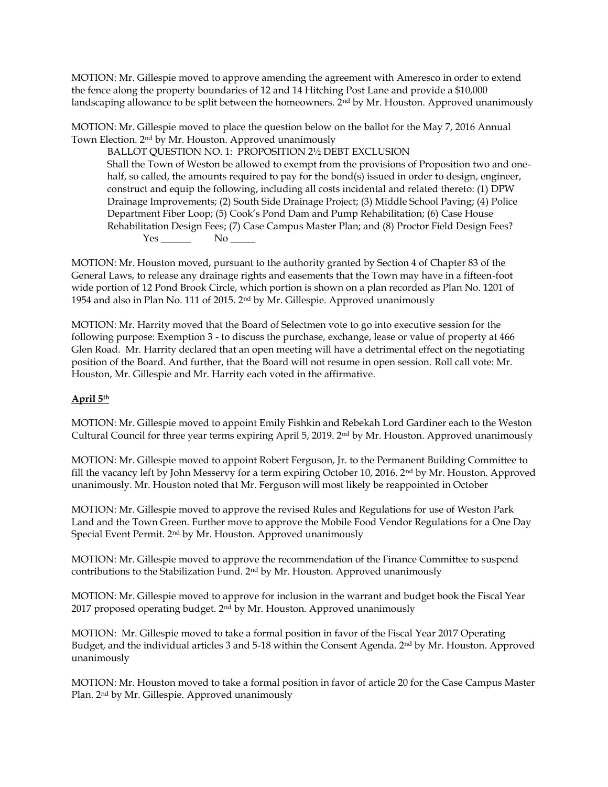MOTION: Mr. Gillespie moved to approve amending the agreement with Ameresco in order to extend the fence along the property boundaries of 12 and 14 Hitching Post Lane and provide a \$10,000 landscaping allowance to be split between the homeowners.  $2<sup>nd</sup>$  by Mr. Houston. Approved unanimously

MOTION: Mr. Gillespie moved to place the question below on the ballot for the May 7, 2016 Annual Town Election. 2nd by Mr. Houston. Approved unanimously

BALLOT QUESTION NO. 1: PROPOSITION 2½ DEBT EXCLUSION Shall the Town of Weston be allowed to exempt from the provisions of Proposition two and onehalf, so called, the amounts required to pay for the bond(s) issued in order to design, engineer, construct and equip the following, including all costs incidental and related thereto: (1) DPW Drainage Improvements; (2) South Side Drainage Project; (3) Middle School Paving; (4) Police Department Fiber Loop; (5) Cook's Pond Dam and Pump Rehabilitation; (6) Case House Rehabilitation Design Fees; (7) Case Campus Master Plan; and (8) Proctor Field Design Fees? Yes No

MOTION: Mr. Houston moved, pursuant to the authority granted by Section 4 of Chapter 83 of the General Laws, to release any drainage rights and easements that the Town may have in a fifteen-foot wide portion of 12 Pond Brook Circle, which portion is shown on a plan recorded as Plan No. 1201 of 1954 and also in Plan No. 111 of 2015. 2nd by Mr. Gillespie. Approved unanimously

MOTION: Mr. Harrity moved that the Board of Selectmen vote to go into executive session for the following purpose: Exemption 3 - to discuss the purchase, exchange, lease or value of property at 466 Glen Road. Mr. Harrity declared that an open meeting will have a detrimental effect on the negotiating position of the Board. And further, that the Board will not resume in open session. Roll call vote: Mr. Houston, Mr. Gillespie and Mr. Harrity each voted in the affirmative.

# **April 5th**

MOTION: Mr. Gillespie moved to appoint Emily Fishkin and Rebekah Lord Gardiner each to the Weston Cultural Council for three year terms expiring April 5, 2019.  $2<sup>nd</sup>$  by Mr. Houston. Approved unanimously

MOTION: Mr. Gillespie moved to appoint Robert Ferguson, Jr. to the Permanent Building Committee to fill the vacancy left by John Messervy for a term expiring October 10, 2016. 2nd by Mr. Houston. Approved unanimously. Mr. Houston noted that Mr. Ferguson will most likely be reappointed in October

MOTION: Mr. Gillespie moved to approve the revised Rules and Regulations for use of Weston Park Land and the Town Green. Further move to approve the Mobile Food Vendor Regulations for a One Day Special Event Permit. 2nd by Mr. Houston. Approved unanimously

MOTION: Mr. Gillespie moved to approve the recommendation of the Finance Committee to suspend contributions to the Stabilization Fund. 2nd by Mr. Houston. Approved unanimously

MOTION: Mr. Gillespie moved to approve for inclusion in the warrant and budget book the Fiscal Year 2017 proposed operating budget. 2nd by Mr. Houston. Approved unanimously

MOTION: Mr. Gillespie moved to take a formal position in favor of the Fiscal Year 2017 Operating Budget, and the individual articles 3 and 5-18 within the Consent Agenda. 2nd by Mr. Houston. Approved unanimously

MOTION: Mr. Houston moved to take a formal position in favor of article 20 for the Case Campus Master Plan. 2nd by Mr. Gillespie. Approved unanimously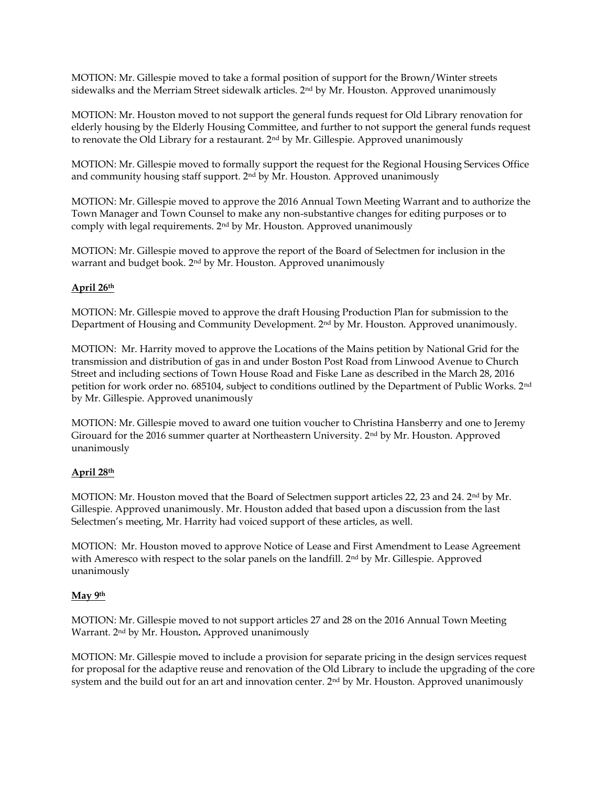MOTION: Mr. Gillespie moved to take a formal position of support for the Brown/Winter streets sidewalks and the Merriam Street sidewalk articles. 2<sup>nd</sup> by Mr. Houston. Approved unanimously

MOTION: Mr. Houston moved to not support the general funds request for Old Library renovation for elderly housing by the Elderly Housing Committee, and further to not support the general funds request to renovate the Old Library for a restaurant.  $2<sup>nd</sup>$  by Mr. Gillespie. Approved unanimously

MOTION: Mr. Gillespie moved to formally support the request for the Regional Housing Services Office and community housing staff support. 2nd by Mr. Houston. Approved unanimously

MOTION: Mr. Gillespie moved to approve the 2016 Annual Town Meeting Warrant and to authorize the Town Manager and Town Counsel to make any non-substantive changes for editing purposes or to comply with legal requirements. 2nd by Mr. Houston. Approved unanimously

MOTION: Mr. Gillespie moved to approve the report of the Board of Selectmen for inclusion in the warrant and budget book. 2nd by Mr. Houston. Approved unanimously

## **April 26th**

MOTION: Mr. Gillespie moved to approve the draft Housing Production Plan for submission to the Department of Housing and Community Development. 2nd by Mr. Houston. Approved unanimously.

MOTION: Mr. Harrity moved to approve the Locations of the Mains petition by National Grid for the transmission and distribution of gas in and under Boston Post Road from Linwood Avenue to Church Street and including sections of Town House Road and Fiske Lane as described in the March 28, 2016 petition for work order no. 685104, subject to conditions outlined by the Department of Public Works. 2nd by Mr. Gillespie. Approved unanimously

MOTION: Mr. Gillespie moved to award one tuition voucher to Christina Hansberry and one to Jeremy Girouard for the 2016 summer quarter at Northeastern University. 2nd by Mr. Houston. Approved unanimously

## **April 28th**

MOTION: Mr. Houston moved that the Board of Selectmen support articles 22, 23 and 24. 2nd by Mr. Gillespie. Approved unanimously. Mr. Houston added that based upon a discussion from the last Selectmen's meeting, Mr. Harrity had voiced support of these articles, as well.

MOTION: Mr. Houston moved to approve Notice of Lease and First Amendment to Lease Agreement with Ameresco with respect to the solar panels on the landfill. 2nd by Mr. Gillespie. Approved unanimously

## **May 9th**

MOTION: Mr. Gillespie moved to not support articles 27 and 28 on the 2016 Annual Town Meeting Warrant. 2nd by Mr. Houston**.** Approved unanimously

MOTION: Mr. Gillespie moved to include a provision for separate pricing in the design services request for proposal for the adaptive reuse and renovation of the Old Library to include the upgrading of the core system and the build out for an art and innovation center.  $2<sup>nd</sup>$  by Mr. Houston. Approved unanimously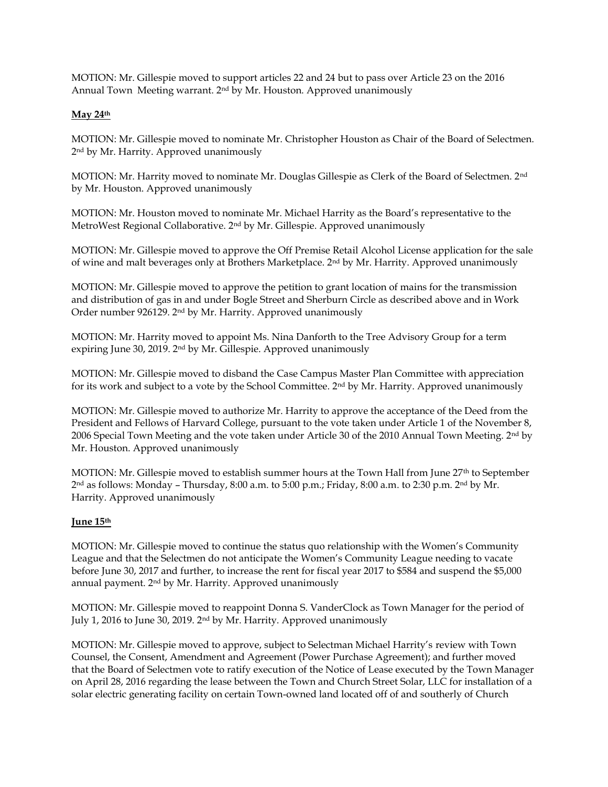MOTION: Mr. Gillespie moved to support articles 22 and 24 but to pass over Article 23 on the 2016 Annual Town Meeting warrant. 2nd by Mr. Houston. Approved unanimously

## **May 24th**

MOTION: Mr. Gillespie moved to nominate Mr. Christopher Houston as Chair of the Board of Selectmen. 2 nd by Mr. Harrity. Approved unanimously

MOTION: Mr. Harrity moved to nominate Mr. Douglas Gillespie as Clerk of the Board of Selectmen. 2nd by Mr. Houston. Approved unanimously

MOTION: Mr. Houston moved to nominate Mr. Michael Harrity as the Board's representative to the MetroWest Regional Collaborative. 2nd by Mr. Gillespie. Approved unanimously

MOTION: Mr. Gillespie moved to approve the Off Premise Retail Alcohol License application for the sale of wine and malt beverages only at Brothers Marketplace. 2nd by Mr. Harrity. Approved unanimously

MOTION: Mr. Gillespie moved to approve the petition to grant location of mains for the transmission and distribution of gas in and under Bogle Street and Sherburn Circle as described above and in Work Order number 926129. 2nd by Mr. Harrity. Approved unanimously

MOTION: Mr. Harrity moved to appoint Ms. Nina Danforth to the Tree Advisory Group for a term expiring June 30, 2019. 2nd by Mr. Gillespie. Approved unanimously

MOTION: Mr. Gillespie moved to disband the Case Campus Master Plan Committee with appreciation for its work and subject to a vote by the School Committee. 2nd by Mr. Harrity. Approved unanimously

MOTION: Mr. Gillespie moved to authorize Mr. Harrity to approve the acceptance of the Deed from the President and Fellows of Harvard College, pursuant to the vote taken under Article 1 of the November 8, 2006 Special Town Meeting and the vote taken under Article 30 of the 2010 Annual Town Meeting. 2<sup>nd</sup> by Mr. Houston. Approved unanimously

MOTION: Mr. Gillespie moved to establish summer hours at the Town Hall from June 27<sup>th</sup> to September 2 nd as follows: Monday – Thursday, 8:00 a.m. to 5:00 p.m.; Friday, 8:00 a.m. to 2:30 p.m. 2nd by Mr. Harrity. Approved unanimously

## **June 15th**

MOTION: Mr. Gillespie moved to continue the status quo relationship with the Women's Community League and that the Selectmen do not anticipate the Women's Community League needing to vacate before June 30, 2017 and further, to increase the rent for fiscal year 2017 to \$584 and suspend the \$5,000 annual payment. 2nd by Mr. Harrity. Approved unanimously

MOTION: Mr. Gillespie moved to reappoint Donna S. VanderClock as Town Manager for the period of July 1, 2016 to June 30, 2019. 2nd by Mr. Harrity. Approved unanimously

MOTION: Mr. Gillespie moved to approve, subject to Selectman Michael Harrity's review with Town Counsel, the Consent, Amendment and Agreement (Power Purchase Agreement); and further moved that the Board of Selectmen vote to ratify execution of the Notice of Lease executed by the Town Manager on April 28, 2016 regarding the lease between the Town and Church Street Solar, LLC for installation of a solar electric generating facility on certain Town-owned land located off of and southerly of Church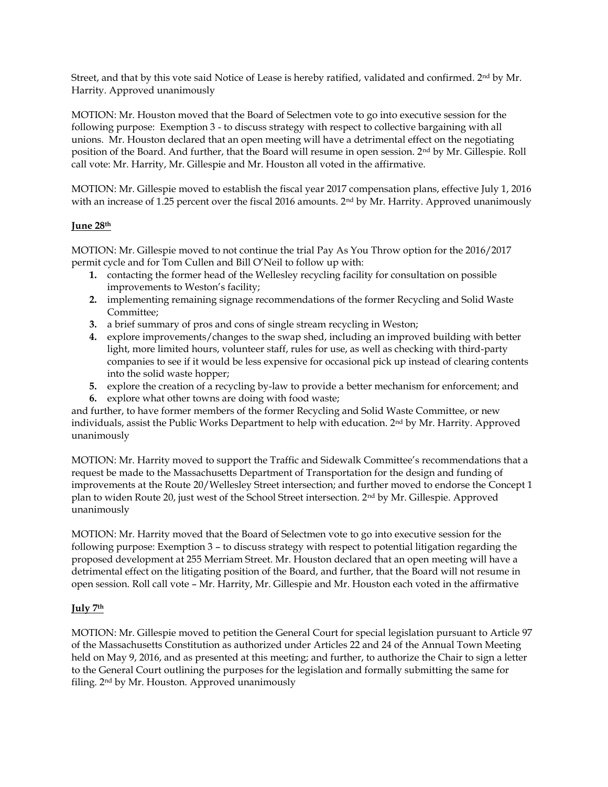Street, and that by this vote said Notice of Lease is hereby ratified, validated and confirmed. 2nd by Mr. Harrity. Approved unanimously

MOTION: Mr. Houston moved that the Board of Selectmen vote to go into executive session for the following purpose: Exemption 3 - to discuss strategy with respect to collective bargaining with all unions. Mr. Houston declared that an open meeting will have a detrimental effect on the negotiating position of the Board. And further, that the Board will resume in open session. 2nd by Mr. Gillespie. Roll call vote: Mr. Harrity, Mr. Gillespie and Mr. Houston all voted in the affirmative.

MOTION: Mr. Gillespie moved to establish the fiscal year 2017 compensation plans, effective July 1, 2016 with an increase of 1.25 percent over the fiscal 2016 amounts. 2<sup>nd</sup> by Mr. Harrity. Approved unanimously

## **June 28th**

MOTION: Mr. Gillespie moved to not continue the trial Pay As You Throw option for the 2016/2017 permit cycle and for Tom Cullen and Bill O'Neil to follow up with:

- **1.** contacting the former head of the Wellesley recycling facility for consultation on possible improvements to Weston's facility;
- **2.** implementing remaining signage recommendations of the former Recycling and Solid Waste Committee;
- **3.** a brief summary of pros and cons of single stream recycling in Weston;
- **4.** explore improvements/changes to the swap shed, including an improved building with better light, more limited hours, volunteer staff, rules for use, as well as checking with third-party companies to see if it would be less expensive for occasional pick up instead of clearing contents into the solid waste hopper;
- **5.** explore the creation of a recycling by-law to provide a better mechanism for enforcement; and
- **6.** explore what other towns are doing with food waste;

and further, to have former members of the former Recycling and Solid Waste Committee, or new individuals, assist the Public Works Department to help with education.  $2<sup>nd</sup>$  by Mr. Harrity. Approved unanimously

MOTION: Mr. Harrity moved to support the Traffic and Sidewalk Committee's recommendations that a request be made to the Massachusetts Department of Transportation for the design and funding of improvements at the Route 20/Wellesley Street intersection; and further moved to endorse the Concept 1 plan to widen Route 20, just west of the School Street intersection. 2nd by Mr. Gillespie. Approved unanimously

MOTION: Mr. Harrity moved that the Board of Selectmen vote to go into executive session for the following purpose: Exemption 3 – to discuss strategy with respect to potential litigation regarding the proposed development at 255 Merriam Street. Mr. Houston declared that an open meeting will have a detrimental effect on the litigating position of the Board, and further, that the Board will not resume in open session. Roll call vote – Mr. Harrity, Mr. Gillespie and Mr. Houston each voted in the affirmative

# **July 7th**

MOTION: Mr. Gillespie moved to petition the General Court for special legislation pursuant to Article 97 of the Massachusetts Constitution as authorized under Articles 22 and 24 of the Annual Town Meeting held on May 9, 2016, and as presented at this meeting; and further, to authorize the Chair to sign a letter to the General Court outlining the purposes for the legislation and formally submitting the same for filing. 2nd by Mr. Houston. Approved unanimously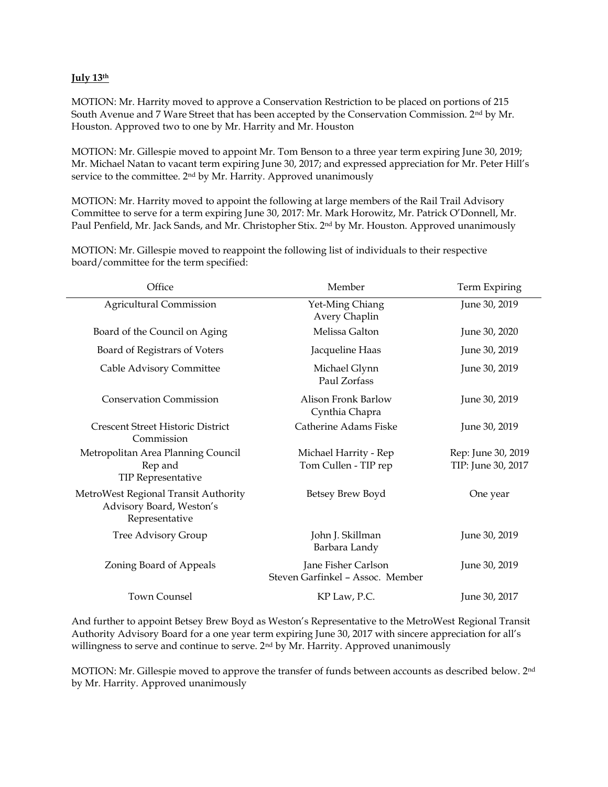## **July 13th**

MOTION: Mr. Harrity moved to approve a Conservation Restriction to be placed on portions of 215 South Avenue and 7 Ware Street that has been accepted by the Conservation Commission. 2nd by Mr. Houston. Approved two to one by Mr. Harrity and Mr. Houston

MOTION: Mr. Gillespie moved to appoint Mr. Tom Benson to a three year term expiring June 30, 2019; Mr. Michael Natan to vacant term expiring June 30, 2017; and expressed appreciation for Mr. Peter Hill's service to the committee. 2<sup>nd</sup> by Mr. Harrity. Approved unanimously

MOTION: Mr. Harrity moved to appoint the following at large members of the Rail Trail Advisory Committee to serve for a term expiring June 30, 2017: Mr. Mark Horowitz, Mr. Patrick O'Donnell, Mr. Paul Penfield, Mr. Jack Sands, and Mr. Christopher Stix. 2nd by Mr. Houston. Approved unanimously

Office Member Member Term Expiring Agricultural Commission Tet-Ming Chiang Avery Chaplin June 30, 2019 Board of the Council on Aging The Melissa Galton June 30, 2020 Board of Registrars of Voters **Figure 12** Jacqueline Haas June 30, 2019 Cable Advisory Committee Michael Glynn Paul Zorfass June 30, 2019 Conservation Commission Alison Fronk Barlow Cynthia Chapra June 30, 2019 Crescent Street Historic District Commission Catherine Adams Fiske June 30, 2019 Metropolitan Area Planning Council Rep and TIP Representative Michael Harrity - Rep Tom Cullen - TIP rep Rep: June 30, 2019 TIP: June 30, 2017 MetroWest Regional Transit Authority Advisory Board, Weston's Representative Betsey Brew Boyd One year Tree Advisory Group John J. Skillman Barbara Landy June 30, 2019 Zoning Board of Appeals Jane Fisher Carlson Steven Garfinkel – Assoc. Member June 30, 2019 Town Counsel **KP Law, P.C.** June 30, 2017

MOTION: Mr. Gillespie moved to reappoint the following list of individuals to their respective board/committee for the term specified:

And further to appoint Betsey Brew Boyd as Weston's Representative to the MetroWest Regional Transit Authority Advisory Board for a one year term expiring June 30, 2017 with sincere appreciation for all's willingness to serve and continue to serve. 2<sup>nd</sup> by Mr. Harrity. Approved unanimously

MOTION: Mr. Gillespie moved to approve the transfer of funds between accounts as described below. 2nd by Mr. Harrity. Approved unanimously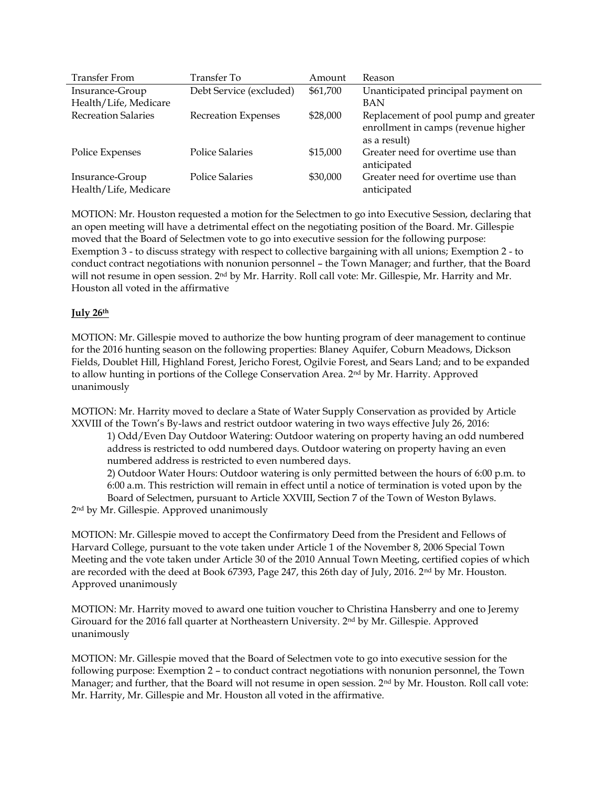| <b>Transfer From</b>       | Transfer To                | Amount   | Reason                                            |
|----------------------------|----------------------------|----------|---------------------------------------------------|
| Insurance-Group            | Debt Service (excluded)    | \$61,700 | Unanticipated principal payment on                |
| Health/Life, Medicare      |                            |          | BAN                                               |
| <b>Recreation Salaries</b> | <b>Recreation Expenses</b> | \$28,000 | Replacement of pool pump and greater              |
|                            |                            |          | enrollment in camps (revenue higher               |
|                            |                            |          | as a result)                                      |
| Police Expenses            | <b>Police Salaries</b>     | \$15,000 | Greater need for overtime use than<br>anticipated |
| Insurance-Group            | <b>Police Salaries</b>     | \$30,000 | Greater need for overtime use than                |
| Health/Life, Medicare      |                            |          | anticipated                                       |

MOTION: Mr. Houston requested a motion for the Selectmen to go into Executive Session, declaring that an open meeting will have a detrimental effect on the negotiating position of the Board. Mr. Gillespie moved that the Board of Selectmen vote to go into executive session for the following purpose: Exemption 3 - to discuss strategy with respect to collective bargaining with all unions; Exemption 2 - to conduct contract negotiations with nonunion personnel – the Town Manager; and further, that the Board will not resume in open session. 2<sup>nd</sup> by Mr. Harrity. Roll call vote: Mr. Gillespie, Mr. Harrity and Mr. Houston all voted in the affirmative

## **July 26th**

MOTION: Mr. Gillespie moved to authorize the bow hunting program of deer management to continue for the 2016 hunting season on the following properties: Blaney Aquifer, Coburn Meadows, Dickson Fields, Doublet Hill, Highland Forest, Jericho Forest, Ogilvie Forest, and Sears Land; and to be expanded to allow hunting in portions of the College Conservation Area. 2<sup>nd</sup> by Mr. Harrity. Approved unanimously

MOTION: Mr. Harrity moved to declare a State of Water Supply Conservation as provided by Article XXVIII of the Town's By-laws and restrict outdoor watering in two ways effective July 26, 2016:

1) Odd/Even Day Outdoor Watering: Outdoor watering on property having an odd numbered address is restricted to odd numbered days. Outdoor watering on property having an even numbered address is restricted to even numbered days.

2) Outdoor Water Hours: Outdoor watering is only permitted between the hours of 6:00 p.m. to 6:00 a.m. This restriction will remain in effect until a notice of termination is voted upon by the Board of Selectmen, pursuant to Article XXVIII, Section 7 of the Town of Weston Bylaws.

2 nd by Mr. Gillespie. Approved unanimously

MOTION: Mr. Gillespie moved to accept the Confirmatory Deed from the President and Fellows of Harvard College, pursuant to the vote taken under Article 1 of the November 8, 2006 Special Town Meeting and the vote taken under Article 30 of the 2010 Annual Town Meeting, certified copies of which are recorded with the deed at Book 67393, Page 247, this 26th day of July, 2016. 2<sup>nd</sup> by Mr. Houston. Approved unanimously

MOTION: Mr. Harrity moved to award one tuition voucher to Christina Hansberry and one to Jeremy Girouard for the 2016 fall quarter at Northeastern University. 2nd by Mr. Gillespie. Approved unanimously

MOTION: Mr. Gillespie moved that the Board of Selectmen vote to go into executive session for the following purpose: Exemption 2 – to conduct contract negotiations with nonunion personnel, the Town Manager; and further, that the Board will not resume in open session. 2nd by Mr. Houston. Roll call vote: Mr. Harrity, Mr. Gillespie and Mr. Houston all voted in the affirmative.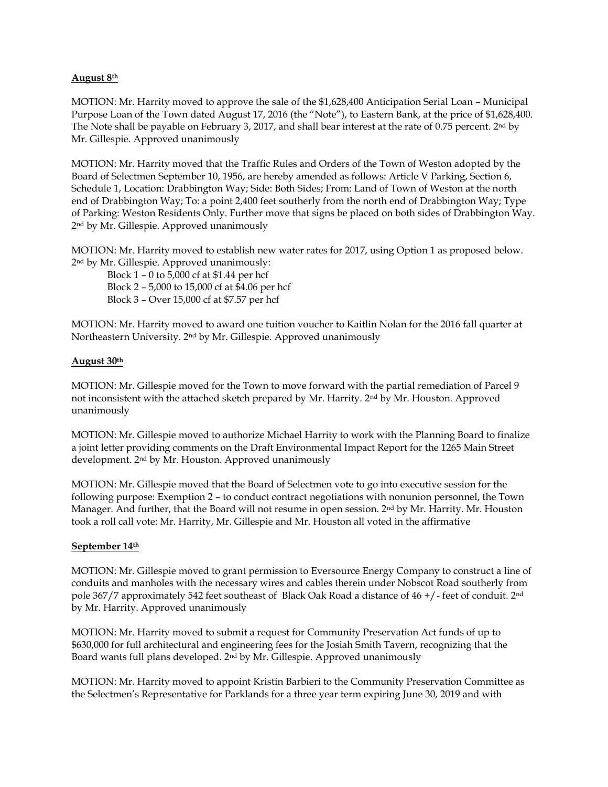## **August 8th**

MOTION: Mr. Harrity moved to approve the sale of the \$1,628,400 Anticipation Serial Loan – Municipal Purpose Loan of the Town dated August 17, 2016 (the "Note"), to Eastern Bank, at the price of \$1,628,400. The Note shall be payable on February 3, 2017, and shall bear interest at the rate of 0.75 percent. 2nd by Mr. Gillespie. Approved unanimously

MOTION: Mr. Harrity moved that the Traffic Rules and Orders of the Town of Weston adopted by the Board of Selectmen September 10, 1956, are hereby amended as follows: Article V Parking, Section 6, Schedule 1, Location: Drabbington Way; Side: Both Sides; From: Land of Town of Weston at the north end of Drabbington Way; To: a point 2,400 feet southerly from the north end of Drabbington Way; Type of Parking: Weston Residents Only. Further move that signs be placed on both sides of Drabbington Way. 2 nd by Mr. Gillespie. Approved unanimously

MOTION: Mr. Harrity moved to establish new water rates for 2017, using Option 1 as proposed below. 2 nd by Mr. Gillespie. Approved unanimously:

Block 1 – 0 to 5,000 cf at \$1.44 per hcf Block 2 – 5,000 to 15,000 cf at \$4.06 per hcf Block 3 – Over 15,000 cf at \$7.57 per hcf

MOTION: Mr. Harrity moved to award one tuition voucher to Kaitlin Nolan for the 2016 fall quarter at Northeastern University. 2nd by Mr. Gillespie. Approved unanimously

## **August 30th**

MOTION: Mr. Gillespie moved for the Town to move forward with the partial remediation of Parcel 9 not inconsistent with the attached sketch prepared by Mr. Harrity. 2nd by Mr. Houston. Approved unanimously

MOTION: Mr. Gillespie moved to authorize Michael Harrity to work with the Planning Board to finalize a joint letter providing comments on the Draft Environmental Impact Report for the 1265 Main Street development. 2nd by Mr. Houston. Approved unanimously

MOTION: Mr. Gillespie moved that the Board of Selectmen vote to go into executive session for the following purpose: Exemption 2 – to conduct contract negotiations with nonunion personnel, the Town Manager. And further, that the Board will not resume in open session. 2<sup>nd</sup> by Mr. Harrity. Mr. Houston took a roll call vote: Mr. Harrity, Mr. Gillespie and Mr. Houston all voted in the affirmative

## **September 14th**

MOTION: Mr. Gillespie moved to grant permission to Eversource Energy Company to construct a line of conduits and manholes with the necessary wires and cables therein under Nobscot Road southerly from pole 367/7 approximately 542 feet southeast of Black Oak Road a distance of 46 +/- feet of conduit. 2nd by Mr. Harrity. Approved unanimously

MOTION: Mr. Harrity moved to submit a request for Community Preservation Act funds of up to \$630,000 for full architectural and engineering fees for the Josiah Smith Tavern, recognizing that the Board wants full plans developed. 2nd by Mr. Gillespie. Approved unanimously

MOTION: Mr. Harrity moved to appoint Kristin Barbieri to the Community Preservation Committee as the Selectmen's Representative for Parklands for a three year term expiring June 30, 2019 and with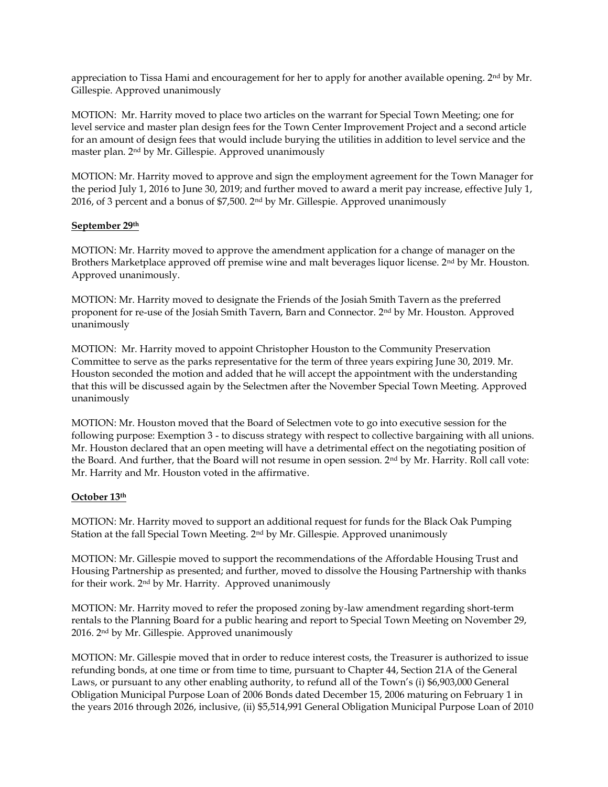appreciation to Tissa Hami and encouragement for her to apply for another available opening. 2<sup>nd</sup> by Mr. Gillespie. Approved unanimously

MOTION: Mr. Harrity moved to place two articles on the warrant for Special Town Meeting; one for level service and master plan design fees for the Town Center Improvement Project and a second article for an amount of design fees that would include burying the utilities in addition to level service and the master plan. 2nd by Mr. Gillespie. Approved unanimously

MOTION: Mr. Harrity moved to approve and sign the employment agreement for the Town Manager for the period July 1, 2016 to June 30, 2019; and further moved to award a merit pay increase, effective July 1, 2016, of 3 percent and a bonus of \$7,500. 2nd by Mr. Gillespie. Approved unanimously

## **September 29th**

MOTION: Mr. Harrity moved to approve the amendment application for a change of manager on the Brothers Marketplace approved off premise wine and malt beverages liquor license. 2<sup>nd</sup> by Mr. Houston. Approved unanimously.

MOTION: Mr. Harrity moved to designate the Friends of the Josiah Smith Tavern as the preferred proponent for re-use of the Josiah Smith Tavern, Barn and Connector. 2nd by Mr. Houston. Approved unanimously

MOTION: Mr. Harrity moved to appoint Christopher Houston to the Community Preservation Committee to serve as the parks representative for the term of three years expiring June 30, 2019. Mr. Houston seconded the motion and added that he will accept the appointment with the understanding that this will be discussed again by the Selectmen after the November Special Town Meeting. Approved unanimously

MOTION: Mr. Houston moved that the Board of Selectmen vote to go into executive session for the following purpose: Exemption 3 - to discuss strategy with respect to collective bargaining with all unions. Mr. Houston declared that an open meeting will have a detrimental effect on the negotiating position of the Board. And further, that the Board will not resume in open session. 2nd by Mr. Harrity. Roll call vote: Mr. Harrity and Mr. Houston voted in the affirmative.

## **October 13th**

MOTION: Mr. Harrity moved to support an additional request for funds for the Black Oak Pumping Station at the fall Special Town Meeting. 2nd by Mr. Gillespie. Approved unanimously

MOTION: Mr. Gillespie moved to support the recommendations of the Affordable Housing Trust and Housing Partnership as presented; and further, moved to dissolve the Housing Partnership with thanks for their work. 2nd by Mr. Harrity. Approved unanimously

MOTION: Mr. Harrity moved to refer the proposed zoning by-law amendment regarding short-term rentals to the Planning Board for a public hearing and report to Special Town Meeting on November 29, 2016. 2nd by Mr. Gillespie. Approved unanimously

MOTION: Mr. Gillespie moved that in order to reduce interest costs, the Treasurer is authorized to issue refunding bonds, at one time or from time to time, pursuant to Chapter 44, Section 21A of the General Laws, or pursuant to any other enabling authority, to refund all of the Town's (i) \$6,903,000 General Obligation Municipal Purpose Loan of 2006 Bonds dated December 15, 2006 maturing on February 1 in the years 2016 through 2026, inclusive, (ii) \$5,514,991 General Obligation Municipal Purpose Loan of 2010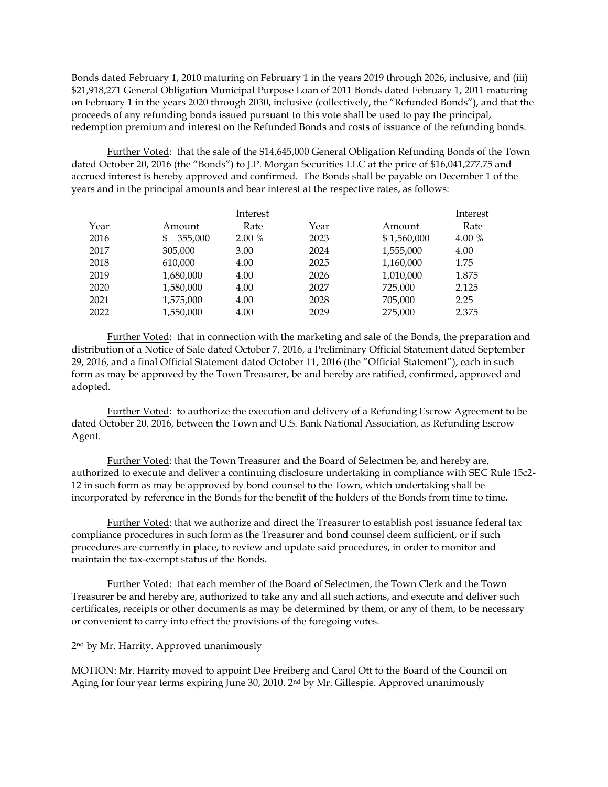Bonds dated February 1, 2010 maturing on February 1 in the years 2019 through 2026, inclusive, and (iii) \$21,918,271 General Obligation Municipal Purpose Loan of 2011 Bonds dated February 1, 2011 maturing on February 1 in the years 2020 through 2030, inclusive (collectively, the "Refunded Bonds"), and that the proceeds of any refunding bonds issued pursuant to this vote shall be used to pay the principal, redemption premium and interest on the Refunded Bonds and costs of issuance of the refunding bonds.

Further Voted: that the sale of the \$14,645,000 General Obligation Refunding Bonds of the Town dated October 20, 2016 (the "Bonds") to J.P. Morgan Securities LLC at the price of \$16,041,277.75 and accrued interest is hereby approved and confirmed. The Bonds shall be payable on December 1 of the years and in the principal amounts and bear interest at the respective rates, as follows:

|      |               | Interest |      |             | Interest |
|------|---------------|----------|------|-------------|----------|
| Year | Amount        | Rate     | Year | Amount      | Rate     |
| 2016 | 355,000<br>\$ | 2.00%    | 2023 | \$1,560,000 | 4.00 %   |
| 2017 | 305,000       | 3.00     | 2024 | 1,555,000   | 4.00     |
| 2018 | 610,000       | 4.00     | 2025 | 1,160,000   | 1.75     |
| 2019 | 1,680,000     | 4.00     | 2026 | 1,010,000   | 1.875    |
| 2020 | 1,580,000     | 4.00     | 2027 | 725,000     | 2.125    |
| 2021 | 1,575,000     | 4.00     | 2028 | 705,000     | 2.25     |
| 2022 | 1,550,000     | 4.00     | 2029 | 275,000     | 2.375    |

Further Voted: that in connection with the marketing and sale of the Bonds, the preparation and distribution of a Notice of Sale dated October 7, 2016, a Preliminary Official Statement dated September 29, 2016, and a final Official Statement dated October 11, 2016 (the "Official Statement"), each in such form as may be approved by the Town Treasurer, be and hereby are ratified, confirmed, approved and adopted.

Further Voted: to authorize the execution and delivery of a Refunding Escrow Agreement to be dated October 20, 2016, between the Town and U.S. Bank National Association, as Refunding Escrow Agent.

Further Voted: that the Town Treasurer and the Board of Selectmen be, and hereby are, authorized to execute and deliver a continuing disclosure undertaking in compliance with SEC Rule 15c2- 12 in such form as may be approved by bond counsel to the Town, which undertaking shall be incorporated by reference in the Bonds for the benefit of the holders of the Bonds from time to time.

Further Voted: that we authorize and direct the Treasurer to establish post issuance federal tax compliance procedures in such form as the Treasurer and bond counsel deem sufficient, or if such procedures are currently in place, to review and update said procedures, in order to monitor and maintain the tax-exempt status of the Bonds.

Further Voted: that each member of the Board of Selectmen, the Town Clerk and the Town Treasurer be and hereby are, authorized to take any and all such actions, and execute and deliver such certificates, receipts or other documents as may be determined by them, or any of them, to be necessary or convenient to carry into effect the provisions of the foregoing votes.

2 nd by Mr. Harrity. Approved unanimously

MOTION: Mr. Harrity moved to appoint Dee Freiberg and Carol Ott to the Board of the Council on Aging for four year terms expiring June 30, 2010. 2nd by Mr. Gillespie. Approved unanimously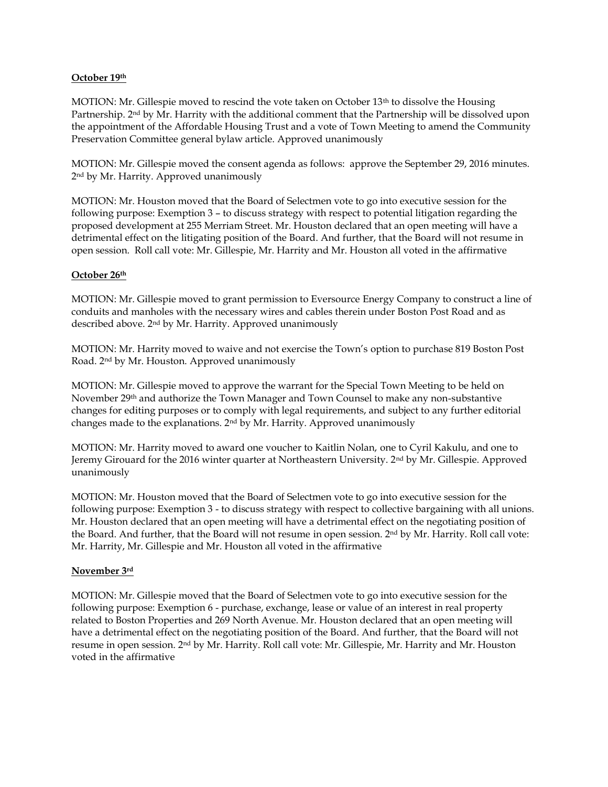## **October 19th**

MOTION: Mr. Gillespie moved to rescind the vote taken on October 13th to dissolve the Housing Partnership. 2nd by Mr. Harrity with the additional comment that the Partnership will be dissolved upon the appointment of the Affordable Housing Trust and a vote of Town Meeting to amend the Community Preservation Committee general bylaw article. Approved unanimously

MOTION: Mr. Gillespie moved the consent agenda as follows: approve the September 29, 2016 minutes. 2 nd by Mr. Harrity. Approved unanimously

MOTION: Mr. Houston moved that the Board of Selectmen vote to go into executive session for the following purpose: Exemption 3 – to discuss strategy with respect to potential litigation regarding the proposed development at 255 Merriam Street. Mr. Houston declared that an open meeting will have a detrimental effect on the litigating position of the Board. And further, that the Board will not resume in open session. Roll call vote: Mr. Gillespie, Mr. Harrity and Mr. Houston all voted in the affirmative

## **October 26th**

MOTION: Mr. Gillespie moved to grant permission to Eversource Energy Company to construct a line of conduits and manholes with the necessary wires and cables therein under Boston Post Road and as described above. 2nd by Mr. Harrity. Approved unanimously

MOTION: Mr. Harrity moved to waive and not exercise the Town's option to purchase 819 Boston Post Road. 2nd by Mr. Houston. Approved unanimously

MOTION: Mr. Gillespie moved to approve the warrant for the Special Town Meeting to be held on November 29th and authorize the Town Manager and Town Counsel to make any non-substantive changes for editing purposes or to comply with legal requirements, and subject to any further editorial changes made to the explanations. 2nd by Mr. Harrity. Approved unanimously

MOTION: Mr. Harrity moved to award one voucher to Kaitlin Nolan, one to Cyril Kakulu, and one to Jeremy Girouard for the 2016 winter quarter at Northeastern University. 2nd by Mr. Gillespie. Approved unanimously

MOTION: Mr. Houston moved that the Board of Selectmen vote to go into executive session for the following purpose: Exemption 3 - to discuss strategy with respect to collective bargaining with all unions. Mr. Houston declared that an open meeting will have a detrimental effect on the negotiating position of the Board. And further, that the Board will not resume in open session. 2nd by Mr. Harrity. Roll call vote: Mr. Harrity, Mr. Gillespie and Mr. Houston all voted in the affirmative

## **November 3rd**

MOTION: Mr. Gillespie moved that the Board of Selectmen vote to go into executive session for the following purpose: Exemption 6 - purchase, exchange, lease or value of an interest in real property related to Boston Properties and 269 North Avenue. Mr. Houston declared that an open meeting will have a detrimental effect on the negotiating position of the Board. And further, that the Board will not resume in open session. 2nd by Mr. Harrity. Roll call vote: Mr. Gillespie, Mr. Harrity and Mr. Houston voted in the affirmative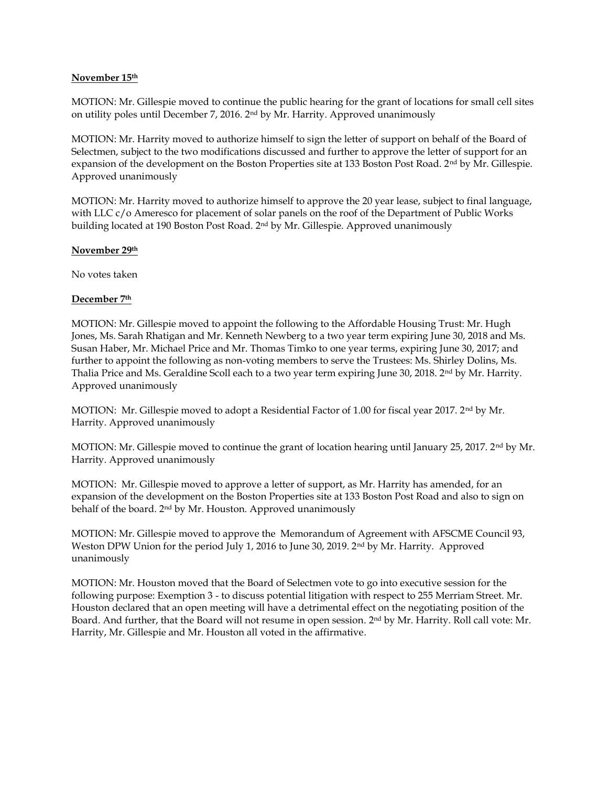## **November 15th**

MOTION: Mr. Gillespie moved to continue the public hearing for the grant of locations for small cell sites on utility poles until December 7, 2016. 2nd by Mr. Harrity. Approved unanimously

MOTION: Mr. Harrity moved to authorize himself to sign the letter of support on behalf of the Board of Selectmen, subject to the two modifications discussed and further to approve the letter of support for an expansion of the development on the Boston Properties site at 133 Boston Post Road. 2<sup>nd</sup> by Mr. Gillespie. Approved unanimously

MOTION: Mr. Harrity moved to authorize himself to approve the 20 year lease, subject to final language, with LLC c/o Ameresco for placement of solar panels on the roof of the Department of Public Works building located at 190 Boston Post Road. 2nd by Mr. Gillespie. Approved unanimously

## **November 29th**

No votes taken

## **December 7th**

MOTION: Mr. Gillespie moved to appoint the following to the Affordable Housing Trust: Mr. Hugh Jones, Ms. Sarah Rhatigan and Mr. Kenneth Newberg to a two year term expiring June 30, 2018 and Ms. Susan Haber, Mr. Michael Price and Mr. Thomas Timko to one year terms, expiring June 30, 2017; and further to appoint the following as non-voting members to serve the Trustees: Ms. Shirley Dolins, Ms. Thalia Price and Ms. Geraldine Scoll each to a two year term expiring June 30, 2018. 2nd by Mr. Harrity. Approved unanimously

MOTION: Mr. Gillespie moved to adopt a Residential Factor of 1.00 for fiscal year 2017. 2nd by Mr. Harrity. Approved unanimously

MOTION: Mr. Gillespie moved to continue the grant of location hearing until January 25, 2017. 2nd by Mr. Harrity. Approved unanimously

MOTION: Mr. Gillespie moved to approve a letter of support, as Mr. Harrity has amended, for an expansion of the development on the Boston Properties site at 133 Boston Post Road and also to sign on behalf of the board. 2nd by Mr. Houston. Approved unanimously

MOTION: Mr. Gillespie moved to approve the Memorandum of Agreement with AFSCME Council 93, Weston DPW Union for the period July 1, 2016 to June 30, 2019. 2<sup>nd</sup> by Mr. Harrity. Approved unanimously

MOTION: Mr. Houston moved that the Board of Selectmen vote to go into executive session for the following purpose: Exemption 3 - to discuss potential litigation with respect to 255 Merriam Street. Mr. Houston declared that an open meeting will have a detrimental effect on the negotiating position of the Board. And further, that the Board will not resume in open session. 2nd by Mr. Harrity. Roll call vote: Mr. Harrity, Mr. Gillespie and Mr. Houston all voted in the affirmative.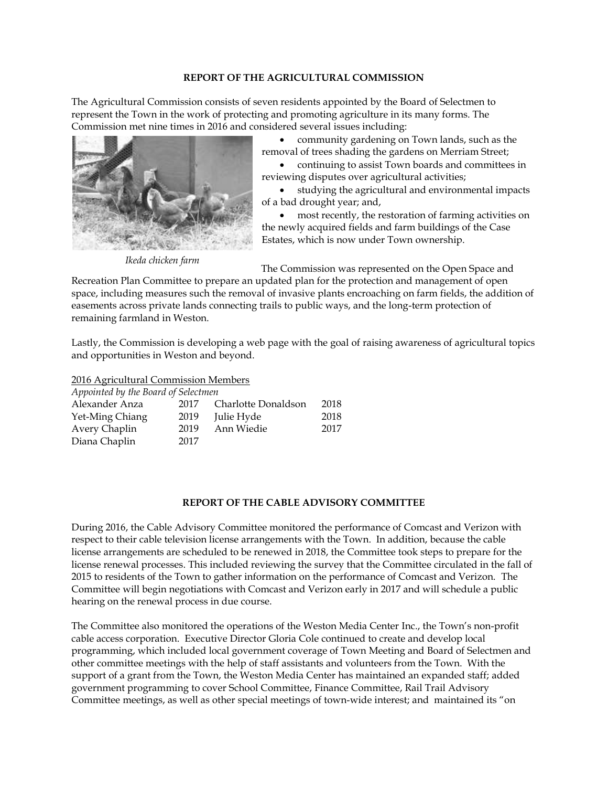## **REPORT OF THE AGRICULTURAL COMMISSION**

The Agricultural Commission consists of seven residents appointed by the Board of Selectmen to represent the Town in the work of protecting and promoting agriculture in its many forms. The Commission met nine times in 2016 and considered several issues including:



*Ikeda chicken farm*

 community gardening on Town lands, such as the removal of trees shading the gardens on Merriam Street;

 continuing to assist Town boards and committees in reviewing disputes over agricultural activities;

 studying the agricultural and environmental impacts of a bad drought year; and,

 most recently, the restoration of farming activities on the newly acquired fields and farm buildings of the Case Estates, which is now under Town ownership.

The Commission was represented on the Open Space and

Recreation Plan Committee to prepare an updated plan for the protection and management of open space, including measures such the removal of invasive plants encroaching on farm fields, the addition of easements across private lands connecting trails to public ways, and the long-term protection of remaining farmland in Weston.

Lastly, the Commission is developing a web page with the goal of raising awareness of agricultural topics and opportunities in Weston and beyond.

2016 Agricultural Commission Members

| Appointed by the Board of Selectmen |      |                     |      |
|-------------------------------------|------|---------------------|------|
| Alexander Anza                      | 2017 | Charlotte Donaldson | 2018 |
| Yet-Ming Chiang                     | 2019 | Julie Hyde          | 2018 |
| Avery Chaplin                       | 2019 | Ann Wiedie          | 2017 |
| Diana Chaplin                       | 2017 |                     |      |

## **REPORT OF THE CABLE ADVISORY COMMITTEE**

During 2016, the Cable Advisory Committee monitored the performance of Comcast and Verizon with respect to their cable television license arrangements with the Town. In addition, because the cable license arrangements are scheduled to be renewed in 2018, the Committee took steps to prepare for the license renewal processes. This included reviewing the survey that the Committee circulated in the fall of 2015 to residents of the Town to gather information on the performance of Comcast and Verizon. The Committee will begin negotiations with Comcast and Verizon early in 2017 and will schedule a public hearing on the renewal process in due course.

The Committee also monitored the operations of the Weston Media Center Inc., the Town's non-profit cable access corporation. Executive Director Gloria Cole continued to create and develop local programming, which included local government coverage of Town Meeting and Board of Selectmen and other committee meetings with the help of staff assistants and volunteers from the Town. With the support of a grant from the Town, the Weston Media Center has maintained an expanded staff; added government programming to cover School Committee, Finance Committee, Rail Trail Advisory Committee meetings, as well as other special meetings of town-wide interest; and maintained its "on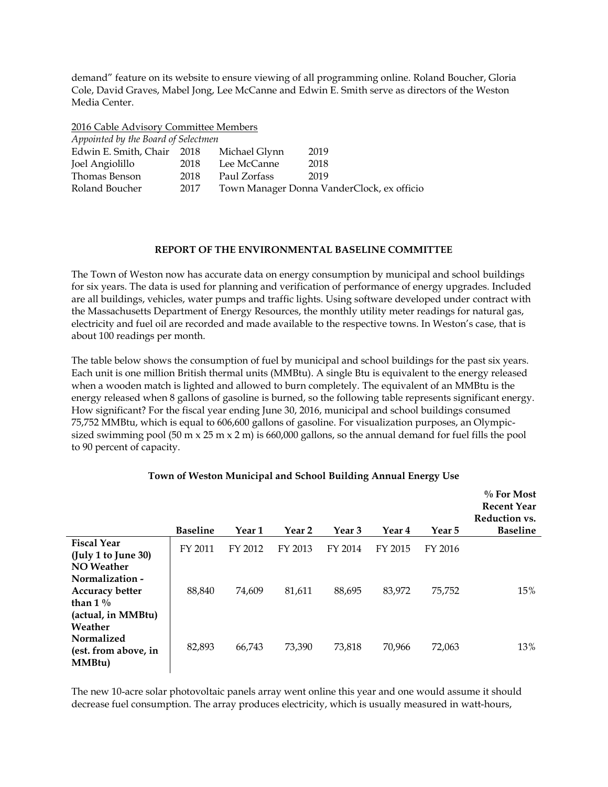demand" feature on its website to ensure viewing of all programming online. Roland Boucher, Gloria Cole, David Graves, Mabel Jong, Lee McCanne and Edwin E. Smith serve as directors of the Weston Media Center.

2016 Cable Advisory Committee Members

| Appointed by the Board of Selectmen |      |               |                                            |  |  |
|-------------------------------------|------|---------------|--------------------------------------------|--|--|
| Edwin E. Smith, Chair               | 2018 | Michael Glynn | 2019                                       |  |  |
| Joel Angiolillo                     | 2018 | Lee McCanne   | 2018                                       |  |  |
| Thomas Benson                       | 2018 | Paul Zorfass  | 2019                                       |  |  |
| Roland Boucher                      | 2017 |               | Town Manager Donna VanderClock, ex officio |  |  |

## **REPORT OF THE ENVIRONMENTAL BASELINE COMMITTEE**

The Town of Weston now has accurate data on energy consumption by municipal and school buildings for six years. The data is used for planning and verification of performance of energy upgrades. Included are all buildings, vehicles, water pumps and traffic lights. Using software developed under contract with the Massachusetts Department of Energy Resources, the monthly utility meter readings for natural gas, electricity and fuel oil are recorded and made available to the respective towns. In Weston's case, that is about 100 readings per month.

The table below shows the consumption of fuel by municipal and school buildings for the past six years. Each unit is one million British thermal units (MMBtu). A single Btu is equivalent to the energy released when a wooden match is lighted and allowed to burn completely. The equivalent of an MMBtu is the energy released when 8 gallons of gasoline is burned, so the following table represents significant energy. How significant? For the fiscal year ending June 30, 2016, municipal and school buildings consumed 75,752 MMBtu, which is equal to 606,600 gallons of gasoline. For visualization purposes, an Olympicsized swimming pool (50 m x 25 m x 2 m) is 660,000 gallons, so the annual demand for fuel fills the pool to 90 percent of capacity.

|                                                                               | <b>Baseline</b> | Year 1  | Year 2  | Year <sub>3</sub> | Year 4  | Year 5  | $\%$ For Most<br><b>Recent Year</b><br>Reduction vs.<br><b>Baseline</b> |
|-------------------------------------------------------------------------------|-----------------|---------|---------|-------------------|---------|---------|-------------------------------------------------------------------------|
| <b>Fiscal Year</b><br>(July 1 to June 30)<br><b>NO</b> Weather                | FY 2011         | FY 2012 | FY 2013 | FY 2014           | FY 2015 | FY 2016 |                                                                         |
| Normalization -<br><b>Accuracy better</b><br>than $1\%$<br>(actual, in MMBtu) | 88,840          | 74,609  | 81,611  | 88,695            | 83,972  | 75,752  | 15%                                                                     |
| Weather<br>Normalized<br>(est. from above, in<br>MMBtu)                       | 82,893          | 66,743  | 73,390  | 73,818            | 70,966  | 72,063  | 13%                                                                     |

# **Town of Weston Municipal and School Building Annual Energy Use**

The new 10-acre solar photovoltaic panels array went online this year and one would assume it should decrease fuel consumption. The array produces electricity, which is usually measured in watt-hours,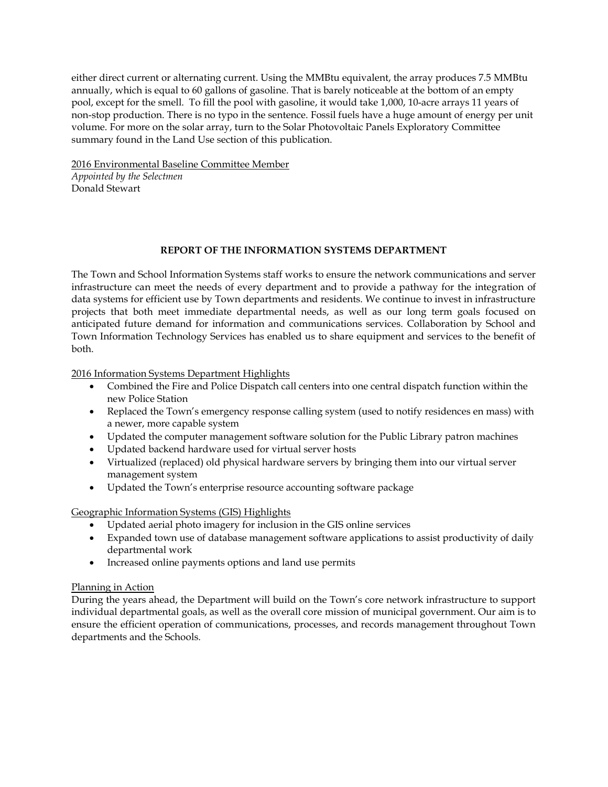either direct current or alternating current. Using the MMBtu equivalent, the array produces 7.5 MMBtu annually, which is equal to 60 gallons of gasoline. That is barely noticeable at the bottom of an empty pool, except for the smell. To fill the pool with gasoline, it would take 1,000, 10-acre arrays 11 years of non-stop production. There is no typo in the sentence. Fossil fuels have a huge amount of energy per unit volume. For more on the solar array, turn to the Solar Photovoltaic Panels Exploratory Committee summary found in the Land Use section of this publication.

2016 Environmental Baseline Committee Member

*Appointed by the Selectmen* Donald Stewart

# **REPORT OF THE INFORMATION SYSTEMS DEPARTMENT**

The Town and School Information Systems staff works to ensure the network communications and server infrastructure can meet the needs of every department and to provide a pathway for the integration of data systems for efficient use by Town departments and residents. We continue to invest in infrastructure projects that both meet immediate departmental needs, as well as our long term goals focused on anticipated future demand for information and communications services. Collaboration by School and Town Information Technology Services has enabled us to share equipment and services to the benefit of both.

2016 Information Systems Department Highlights

- Combined the Fire and Police Dispatch call centers into one central dispatch function within the new Police Station
- Replaced the Town's emergency response calling system (used to notify residences en mass) with a newer, more capable system
- Updated the computer management software solution for the Public Library patron machines
- Updated backend hardware used for virtual server hosts
- Virtualized (replaced) old physical hardware servers by bringing them into our virtual server management system
- Updated the Town's enterprise resource accounting software package

Geographic Information Systems (GIS) Highlights

- Updated aerial photo imagery for inclusion in the GIS online services
- Expanded town use of database management software applications to assist productivity of daily departmental work
- Increased online payments options and land use permits

# Planning in Action

During the years ahead, the Department will build on the Town's core network infrastructure to support individual departmental goals, as well as the overall core mission of municipal government. Our aim is to ensure the efficient operation of communications, processes, and records management throughout Town departments and the Schools.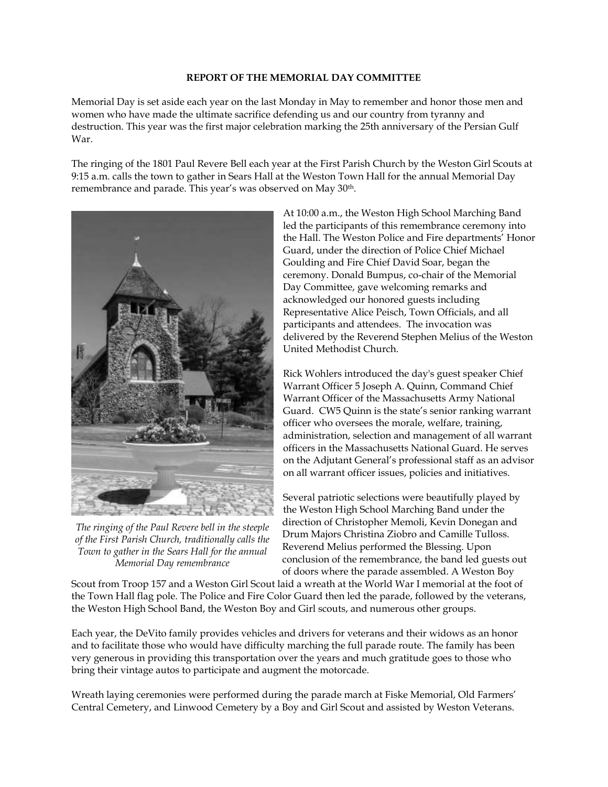#### **REPORT OF THE MEMORIAL DAY COMMITTEE**

Memorial Day is set aside each year on the last Monday in May to remember and honor those men and women who have made the ultimate sacrifice defending us and our country from tyranny and destruction. This year was the first major celebration marking the 25th anniversary of the Persian Gulf War.

The ringing of the 1801 Paul Revere Bell each year at the First Parish Church by the Weston Girl Scouts at 9:15 a.m. calls the town to gather in Sears Hall at the Weston Town Hall for the annual Memorial Day remembrance and parade. This year's was observed on May 30<sup>th</sup>.



*The ringing of the Paul Revere bell in the steeple of the First Parish Church, traditionally calls the Town to gather in the Sears Hall for the annual Memorial Day remembrance*

At 10:00 a.m., the Weston High School Marching Band led the participants of this remembrance ceremony into the Hall. The Weston Police and Fire departments' Honor Guard, under the direction of Police Chief Michael Goulding and Fire Chief David Soar, began the ceremony. Donald Bumpus, co-chair of the Memorial Day Committee, gave welcoming remarks and acknowledged our honored guests including Representative Alice Peisch, Town Officials, and all participants and attendees. The invocation was delivered by the Reverend Stephen Melius of the Weston United Methodist Church.

Rick Wohlers introduced the day's guest speaker Chief Warrant Officer 5 Joseph A. Quinn, Command Chief Warrant Officer of the Massachusetts Army National Guard. CW5 Quinn is the state's senior ranking warrant officer who oversees the morale, welfare, training, administration, selection and management of all warrant officers in the Massachusetts National Guard. He serves on the Adjutant General's professional staff as an advisor on all warrant officer issues, policies and initiatives.

Several patriotic selections were beautifully played by the Weston High School Marching Band under the direction of Christopher Memoli, Kevin Donegan and Drum Majors Christina Ziobro and Camille Tulloss. Reverend Melius performed the Blessing. Upon conclusion of the remembrance, the band led guests out of doors where the parade assembled. A Weston Boy

Scout from Troop 157 and a Weston Girl Scout laid a wreath at the World War I memorial at the foot of the Town Hall flag pole. The Police and Fire Color Guard then led the parade, followed by the veterans, the Weston High School Band, the Weston Boy and Girl scouts, and numerous other groups.

Each year, the DeVito family provides vehicles and drivers for veterans and their widows as an honor and to facilitate those who would have difficulty marching the full parade route. The family has been very generous in providing this transportation over the years and much gratitude goes to those who bring their vintage autos to participate and augment the motorcade.

Wreath laying ceremonies were performed during the parade march at Fiske Memorial, Old Farmers' Central Cemetery, and Linwood Cemetery by a Boy and Girl Scout and assisted by Weston Veterans.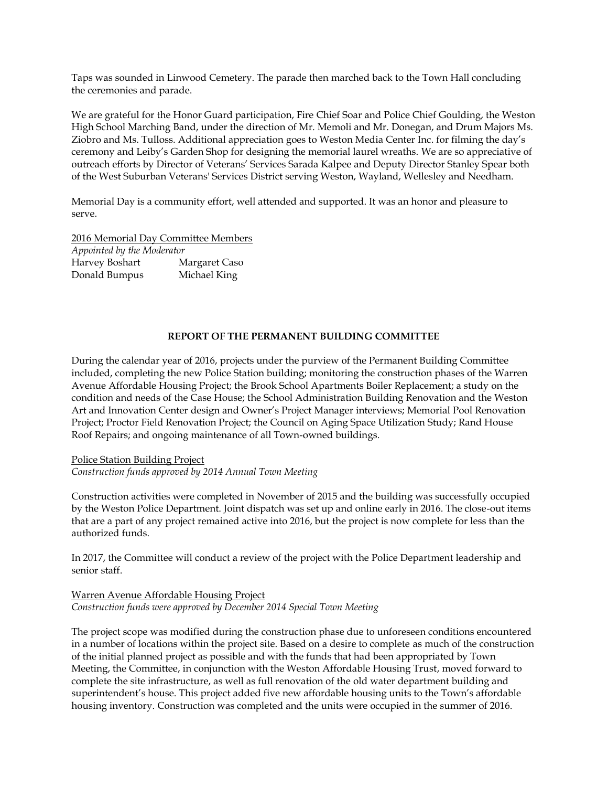Taps was sounded in Linwood Cemetery. The parade then marched back to the Town Hall concluding the ceremonies and parade.

We are grateful for the Honor Guard participation, Fire Chief Soar and Police Chief Goulding, the Weston High School Marching Band, under the direction of Mr. Memoli and Mr. Donegan, and Drum Majors Ms. Ziobro and Ms. Tulloss. Additional appreciation goes to Weston Media Center Inc. for filming the day's ceremony and Leiby's Garden Shop for designing the memorial laurel wreaths. We are so appreciative of outreach efforts by Director of Veterans' Services Sarada Kalpee and Deputy Director Stanley Spear both of the West Suburban Veterans' Services District serving Weston, Wayland, Wellesley and Needham.

Memorial Day is a community effort, well attended and supported. It was an honor and pleasure to serve.

2016 Memorial Day Committee Members

*Appointed by the Moderator* Harvey Boshart Margaret Caso Donald Bumpus Michael King

# **REPORT OF THE PERMANENT BUILDING COMMITTEE**

During the calendar year of 2016, projects under the purview of the Permanent Building Committee included, completing the new Police Station building; monitoring the construction phases of the Warren Avenue Affordable Housing Project; the Brook School Apartments Boiler Replacement; a study on the condition and needs of the Case House; the School Administration Building Renovation and the Weston Art and Innovation Center design and Owner's Project Manager interviews; Memorial Pool Renovation Project; Proctor Field Renovation Project; the Council on Aging Space Utilization Study; Rand House Roof Repairs; and ongoing maintenance of all Town-owned buildings.

## Police Station Building Project

*Construction funds approved by 2014 Annual Town Meeting*

Construction activities were completed in November of 2015 and the building was successfully occupied by the Weston Police Department. Joint dispatch was set up and online early in 2016. The close-out items that are a part of any project remained active into 2016, but the project is now complete for less than the authorized funds.

In 2017, the Committee will conduct a review of the project with the Police Department leadership and senior staff.

## Warren Avenue Affordable Housing Project *Construction funds were approved by December 2014 Special Town Meeting*

The project scope was modified during the construction phase due to unforeseen conditions encountered in a number of locations within the project site. Based on a desire to complete as much of the construction of the initial planned project as possible and with the funds that had been appropriated by Town Meeting, the Committee, in conjunction with the Weston Affordable Housing Trust, moved forward to complete the site infrastructure, as well as full renovation of the old water department building and superintendent's house. This project added five new affordable housing units to the Town's affordable housing inventory. Construction was completed and the units were occupied in the summer of 2016.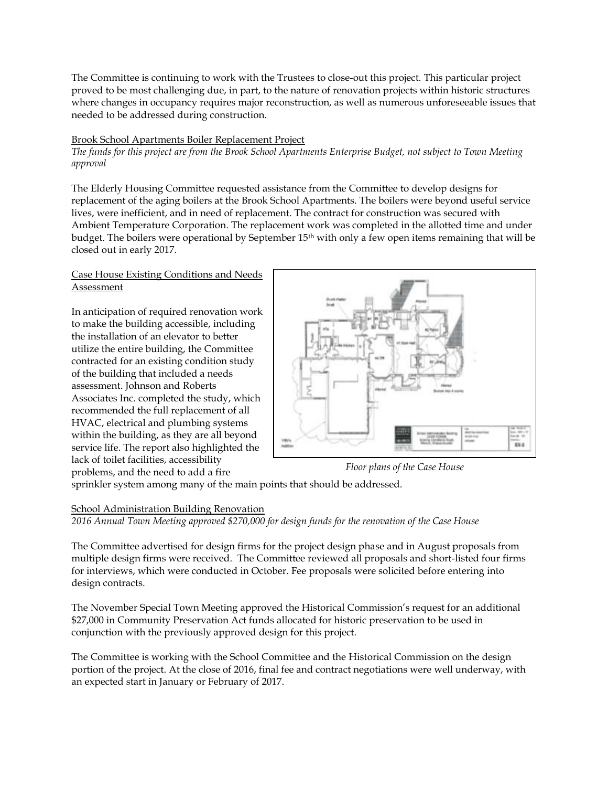The Committee is continuing to work with the Trustees to close-out this project. This particular project proved to be most challenging due, in part, to the nature of renovation projects within historic structures where changes in occupancy requires major reconstruction, as well as numerous unforeseeable issues that needed to be addressed during construction.

## Brook School Apartments Boiler Replacement Project

*The funds for this project are from the Brook School Apartments Enterprise Budget, not subject to Town Meeting approval*

The Elderly Housing Committee requested assistance from the Committee to develop designs for replacement of the aging boilers at the Brook School Apartments. The boilers were beyond useful service lives, were inefficient, and in need of replacement. The contract for construction was secured with Ambient Temperature Corporation. The replacement work was completed in the allotted time and under budget. The boilers were operational by September 15<sup>th</sup> with only a few open items remaining that will be closed out in early 2017.

# Case House Existing Conditions and Needs Assessment

In anticipation of required renovation work to make the building accessible, including the installation of an elevator to better utilize the entire building, the Committee contracted for an existing condition study of the building that included a needs assessment. Johnson and Roberts Associates Inc. completed the study, which recommended the full replacement of all HVAC, electrical and plumbing systems within the building, as they are all beyond service life. The report also highlighted the lack of toilet facilities, accessibility problems, and the need to add a fire



*Floor plans of the Case House*

sprinkler system among many of the main points that should be addressed.

# School Administration Building Renovation

*2016 Annual Town Meeting approved \$270,000 for design funds for the renovation of the Case House*

The Committee advertised for design firms for the project design phase and in August proposals from multiple design firms were received. The Committee reviewed all proposals and short-listed four firms for interviews, which were conducted in October. Fee proposals were solicited before entering into design contracts.

The November Special Town Meeting approved the Historical Commission's request for an additional \$27,000 in Community Preservation Act funds allocated for historic preservation to be used in conjunction with the previously approved design for this project.

The Committee is working with the School Committee and the Historical Commission on the design portion of the project. At the close of 2016, final fee and contract negotiations were well underway, with an expected start in January or February of 2017.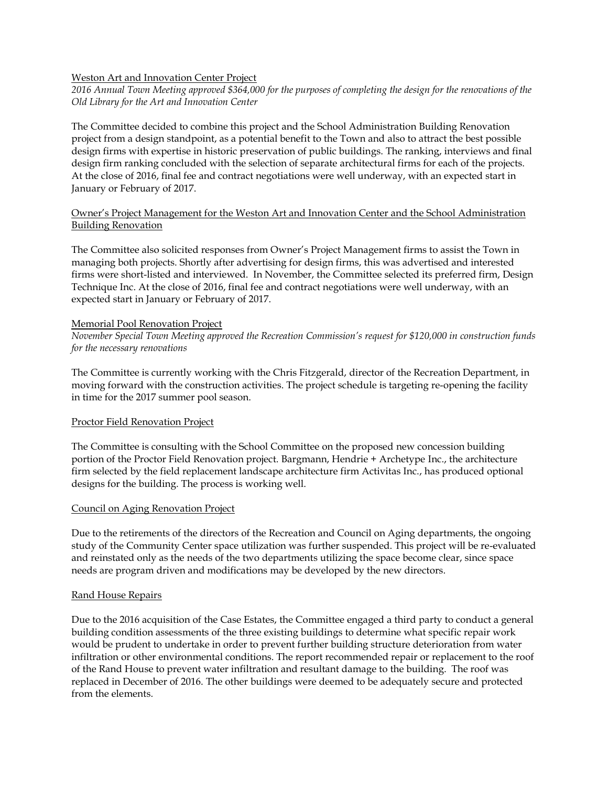## Weston Art and Innovation Center Project

*2016 Annual Town Meeting approved \$364,000 for the purposes of completing the design for the renovations of the Old Library for the Art and Innovation Center* 

The Committee decided to combine this project and the School Administration Building Renovation project from a design standpoint, as a potential benefit to the Town and also to attract the best possible design firms with expertise in historic preservation of public buildings. The ranking, interviews and final design firm ranking concluded with the selection of separate architectural firms for each of the projects. At the close of 2016, final fee and contract negotiations were well underway, with an expected start in January or February of 2017.

## Owner's Project Management for the Weston Art and Innovation Center and the School Administration Building Renovation

The Committee also solicited responses from Owner's Project Management firms to assist the Town in managing both projects. Shortly after advertising for design firms, this was advertised and interested firms were short-listed and interviewed. In November, the Committee selected its preferred firm, Design Technique Inc. At the close of 2016, final fee and contract negotiations were well underway, with an expected start in January or February of 2017.

#### Memorial Pool Renovation Project

*November Special Town Meeting approved the Recreation Commission's request for \$120,000 in construction funds for the necessary renovations*

The Committee is currently working with the Chris Fitzgerald, director of the Recreation Department, in moving forward with the construction activities. The project schedule is targeting re-opening the facility in time for the 2017 summer pool season.

## Proctor Field Renovation Project

The Committee is consulting with the School Committee on the proposed new concession building portion of the Proctor Field Renovation project. Bargmann, Hendrie + Archetype Inc., the architecture firm selected by the field replacement landscape architecture firm Activitas Inc., has produced optional designs for the building. The process is working well.

## Council on Aging Renovation Project

Due to the retirements of the directors of the Recreation and Council on Aging departments, the ongoing study of the Community Center space utilization was further suspended. This project will be re-evaluated and reinstated only as the needs of the two departments utilizing the space become clear, since space needs are program driven and modifications may be developed by the new directors.

#### Rand House Repairs

Due to the 2016 acquisition of the Case Estates, the Committee engaged a third party to conduct a general building condition assessments of the three existing buildings to determine what specific repair work would be prudent to undertake in order to prevent further building structure deterioration from water infiltration or other environmental conditions. The report recommended repair or replacement to the roof of the Rand House to prevent water infiltration and resultant damage to the building. The roof was replaced in December of 2016. The other buildings were deemed to be adequately secure and protected from the elements.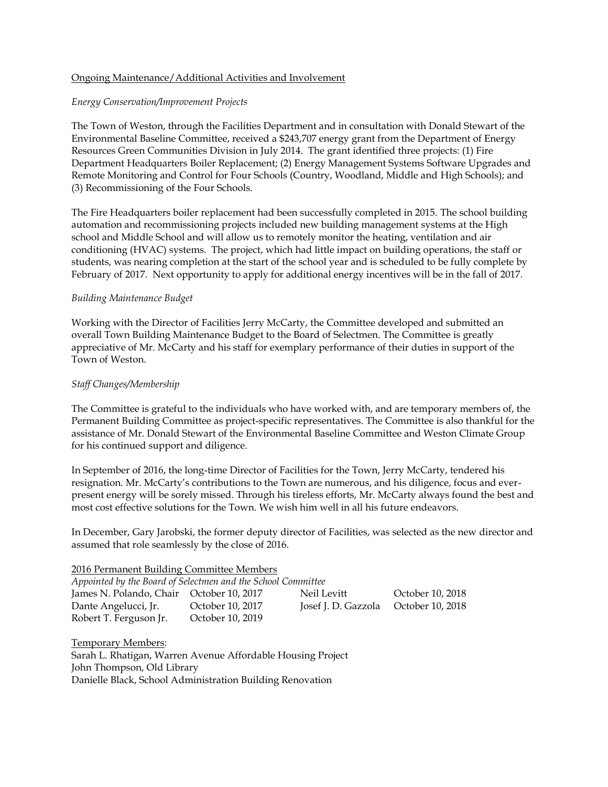## Ongoing Maintenance/Additional Activities and Involvement

## *Energy Conservation/Improvement Projects*

The Town of Weston, through the Facilities Department and in consultation with Donald Stewart of the Environmental Baseline Committee, received a \$243,707 energy grant from the Department of Energy Resources Green Communities Division in July 2014. The grant identified three projects: (1) Fire Department Headquarters Boiler Replacement; (2) Energy Management Systems Software Upgrades and Remote Monitoring and Control for Four Schools (Country, Woodland, Middle and High Schools); and (3) Recommissioning of the Four Schools.

The Fire Headquarters boiler replacement had been successfully completed in 2015. The school building automation and recommissioning projects included new building management systems at the High school and Middle School and will allow us to remotely monitor the heating, ventilation and air conditioning (HVAC) systems. The project, which had little impact on building operations, the staff or students, was nearing completion at the start of the school year and is scheduled to be fully complete by February of 2017. Next opportunity to apply for additional energy incentives will be in the fall of 2017.

## *Building Maintenance Budget*

Working with the Director of Facilities Jerry McCarty, the Committee developed and submitted an overall Town Building Maintenance Budget to the Board of Selectmen. The Committee is greatly appreciative of Mr. McCarty and his staff for exemplary performance of their duties in support of the Town of Weston.

## *Staff Changes/Membership*

The Committee is grateful to the individuals who have worked with, and are temporary members of, the Permanent Building Committee as project-specific representatives. The Committee is also thankful for the assistance of Mr. Donald Stewart of the Environmental Baseline Committee and Weston Climate Group for his continued support and diligence.

In September of 2016, the long-time Director of Facilities for the Town, Jerry McCarty, tendered his resignation. Mr. McCarty's contributions to the Town are numerous, and his diligence, focus and everpresent energy will be sorely missed. Through his tireless efforts, Mr. McCarty always found the best and most cost effective solutions for the Town. We wish him well in all his future endeavors.

In December, Gary Jarobski, the former deputy director of Facilities, was selected as the new director and assumed that role seamlessly by the close of 2016.

#### 2016 Permanent Building Committee Members

| Appointed by the Board of Selectmen and the School Committee |                  |                                      |                  |  |  |
|--------------------------------------------------------------|------------------|--------------------------------------|------------------|--|--|
| James N. Polando, Chair October 10, 2017                     |                  | Neil Levitt                          | October 10, 2018 |  |  |
| Dante Angelucci, Jr.                                         | October 10, 2017 | Josef J. D. Gazzola October 10, 2018 |                  |  |  |
| Robert T. Ferguson Jr.                                       | October 10, 2019 |                                      |                  |  |  |

Temporary Members: Sarah L. Rhatigan, Warren Avenue Affordable Housing Project John Thompson, Old Library Danielle Black, School Administration Building Renovation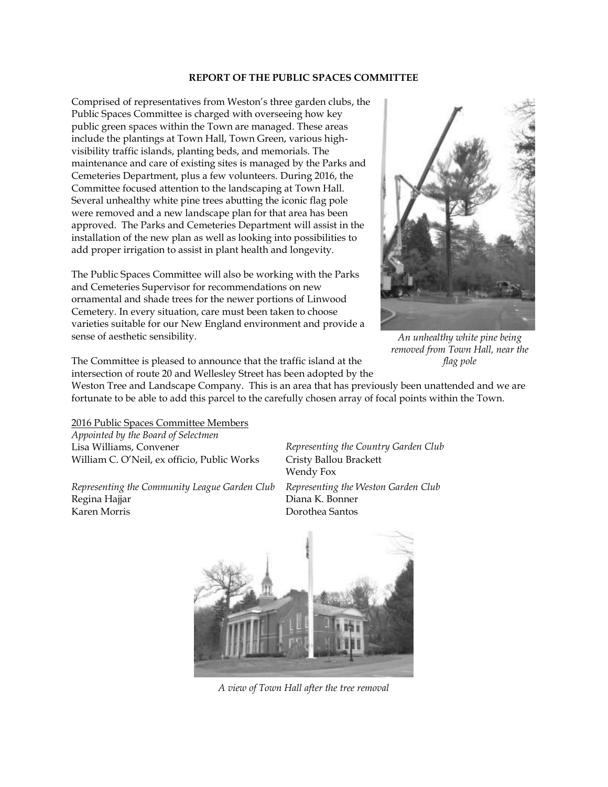#### **REPORT OF THE PUBLIC SPACES COMMITTEE**

Comprised of representatives from Weston's three garden clubs, the Public Spaces Committee is charged with overseeing how key public green spaces within the Town are managed. These areas include the plantings at Town Hall, Town Green, various highvisibility traffic islands, planting beds, and memorials. The maintenance and care of existing sites is managed by the Parks and Cemeteries Department, plus a few volunteers. During 2016, the Committee focused attention to the landscaping at Town Hall. Several unhealthy white pine trees abutting the iconic flag pole were removed and a new landscape plan for that area has been approved. The Parks and Cemeteries Department will assist in the installation of the new plan as well as looking into possibilities to add proper irrigation to assist in plant health and longevity.

The Public Spaces Committee will also be working with the Parks and Cemeteries Supervisor for recommendations on new ornamental and shade trees for the newer portions of Linwood Cemetery. In every situation, care must been taken to choose varieties suitable for our New England environment and provide a sense of aesthetic sensibility.



*An unhealthy white pine being removed from Town Hall, near the flag pole*

The Committee is pleased to announce that the traffic island at the intersection of route 20 and Wellesley Street has been adopted by the

Weston Tree and Landscape Company. This is an area that has previously been unattended and we are fortunate to be able to add this parcel to the carefully chosen array of focal points within the Town.

2016 Public Spaces Committee Members *Appointed by the Board of Selectmen* Lisa Williams, Convener *Representing the Country Garden Club* William C. O'Neil, ex officio, Public Works Cristy Ballou Brackett

*Representing the Community League Garden Club Representing the Weston Garden Club* Regina Hajjar **Diana K. Bonner** Karen Morris Dorothea Santos

Wendy Fox



*A view of Town Hall after the tree removal*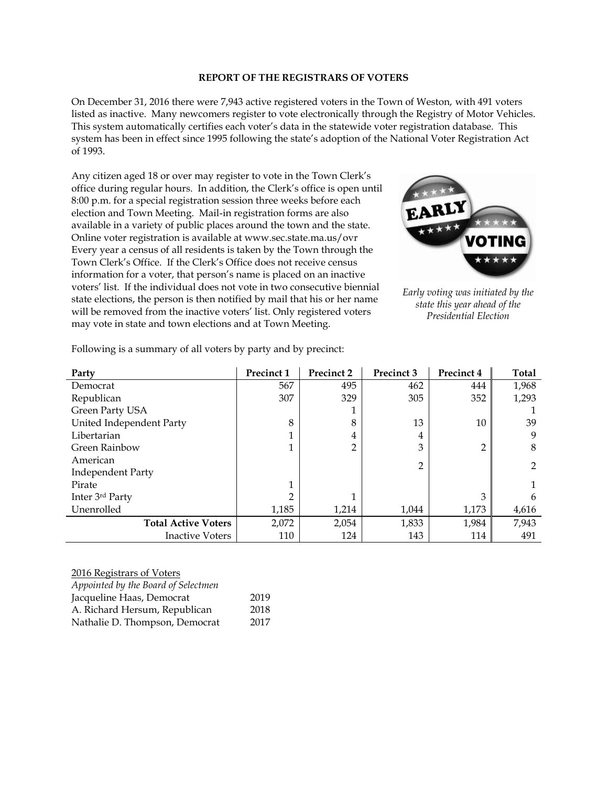#### **REPORT OF THE REGISTRARS OF VOTERS**

On December 31, 2016 there were 7,943 active registered voters in the Town of Weston, with 491 voters listed as inactive. Many newcomers register to vote electronically through the Registry of Motor Vehicles. This system automatically certifies each voter's data in the statewide voter registration database. This system has been in effect since 1995 following the state's adoption of the National Voter Registration Act of 1993.

Any citizen aged 18 or over may register to vote in the Town Clerk's office during regular hours. In addition, the Clerk's office is open until 8:00 p.m. for a special registration session three weeks before each election and Town Meeting. Mail-in registration forms are also available in a variety of public places around the town and the state. Online voter registration is available at www.sec.state.ma.us/ovr Every year a census of all residents is taken by the Town through the Town Clerk's Office. If the Clerk's Office does not receive census information for a voter, that person's name is placed on an inactive voters' list. If the individual does not vote in two consecutive biennial state elections, the person is then notified by mail that his or her name will be removed from the inactive voters' list. Only registered voters may vote in state and town elections and at Town Meeting.



*Early voting was initiated by the state this year ahead of the Presidential Election*

| Party                      | Precinct 1 | <b>Precinct 2</b> | Precinct 3     | Precinct 4     | Total |
|----------------------------|------------|-------------------|----------------|----------------|-------|
| Democrat                   | 567        | 495               | 462            | 444            | 1,968 |
| Republican                 | 307        | 329               | 305            | 352            | 1,293 |
| Green Party USA            |            |                   |                |                |       |
| United Independent Party   | 8          | 8                 | 13             | 10             | 39    |
| Libertarian                |            | 4                 | 4              |                | 9     |
| <b>Green Rainbow</b>       |            | 2                 | 3              | $\overline{2}$ | 8     |
| American                   |            |                   | $\overline{2}$ |                | 2     |
| <b>Independent Party</b>   |            |                   |                |                |       |
| Pirate                     |            |                   |                |                |       |
| Inter 3rd Party            | ∍          |                   |                | 3              | 6     |
| Unenrolled                 | 1,185      | 1,214             | 1,044          | 1,173          | 4,616 |
| <b>Total Active Voters</b> | 2,072      | 2,054             | 1,833          | 1,984          | 7,943 |
| Inactive Voters            | 110        | 124               | 143            | 114            | 491   |

Following is a summary of all voters by party and by precinct:

#### 2016 Registrars of Voters

| Appointed by the Board of Selectmen |      |
|-------------------------------------|------|
| Jacqueline Haas, Democrat           | 2019 |
| A. Richard Hersum, Republican       | 2018 |
| Nathalie D. Thompson, Democrat      | 2017 |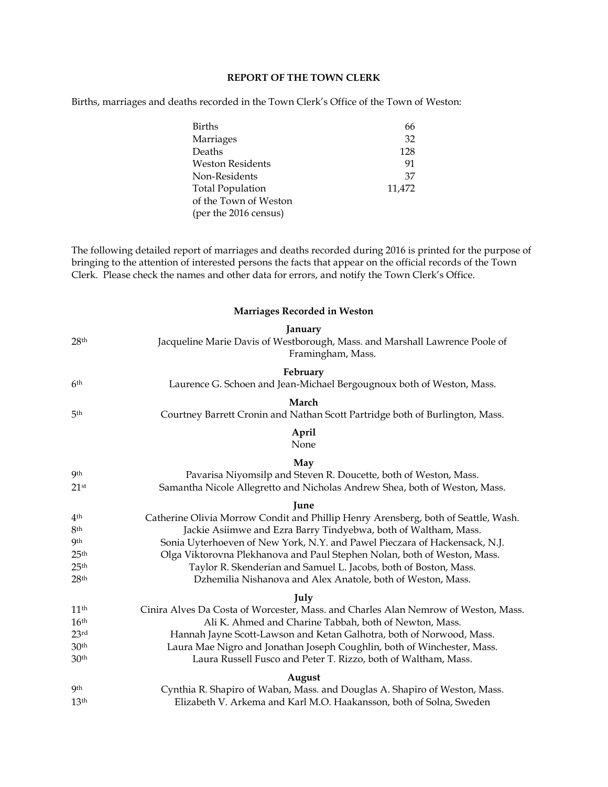## **REPORT OF THE TOWN CLERK**

Births, marriages and deaths recorded in the Town Clerk's Office of the Town of Weston:

| <b>Births</b>           | 66     |
|-------------------------|--------|
| Marriages               | 32     |
| Deaths                  | 128    |
| <b>Weston Residents</b> | 91     |
| Non-Residents           | 37     |
| <b>Total Population</b> | 11,472 |
| of the Town of Weston   |        |
| (per the 2016 census)   |        |

The following detailed report of marriages and deaths recorded during 2016 is printed for the purpose of bringing to the attention of interested persons the facts that appear on the official records of the Town Clerk. Please check the names and other data for errors, and notify the Town Clerk's Office.

## **Marriages Recorded in Weston**

|                    | January                                                                                          |
|--------------------|--------------------------------------------------------------------------------------------------|
| 28 <sup>th</sup>   | Jacqueline Marie Davis of Westborough, Mass. and Marshall Lawrence Poole of<br>Framingham, Mass. |
|                    | February                                                                                         |
| 6 <sup>th</sup>    | Laurence G. Schoen and Jean-Michael Bergougnoux both of Weston, Mass.                            |
|                    | March                                                                                            |
| 5 <sup>th</sup>    | Courtney Barrett Cronin and Nathan Scott Partridge both of Burlington, Mass.                     |
|                    | April<br>None                                                                                    |
|                    | May                                                                                              |
| <b>9</b> th        | Pavarisa Niyomsilp and Steven R. Doucette, both of Weston, Mass.                                 |
| $21$ <sup>st</sup> | Samantha Nicole Allegretto and Nicholas Andrew Shea, both of Weston, Mass.                       |
|                    | <b>Iune</b>                                                                                      |
| 4 <sup>th</sup>    | Catherine Olivia Morrow Condit and Phillip Henry Arensberg, both of Seattle, Wash.               |
| 8th                | Jackie Asiimwe and Ezra Barry Tindyebwa, both of Waltham, Mass.                                  |
| <b>9th</b>         | Sonia Uyterhoeven of New York, N.Y. and Pawel Pieczara of Hackensack, N.J.                       |
| 25 <sup>th</sup>   | Olga Viktorovna Plekhanova and Paul Stephen Nolan, both of Weston, Mass.                         |
| 25 <sup>th</sup>   | Taylor R. Skenderian and Samuel L. Jacobs, both of Boston, Mass.                                 |
| 28 <sup>th</sup>   | Dzhemilia Nishanova and Alex Anatole, both of Weston, Mass.                                      |
|                    | July                                                                                             |
| 11 <sup>th</sup>   | Cinira Alves Da Costa of Worcester, Mass. and Charles Alan Nemrow of Weston, Mass.               |
| 16 <sup>th</sup>   | Ali K. Ahmed and Charine Tabbah, both of Newton, Mass.                                           |
| 23 <sup>rd</sup>   | Hannah Jayne Scott-Lawson and Ketan Galhotra, both of Norwood, Mass.                             |
| 30 <sup>th</sup>   | Laura Mae Nigro and Jonathan Joseph Coughlin, both of Winchester, Mass.                          |
| 30 <sup>th</sup>   | Laura Russell Fusco and Peter T. Rizzo, both of Waltham, Mass.                                   |
|                    | August                                                                                           |
| <b>9</b> th        | Cynthia R. Shapiro of Waban, Mass. and Douglas A. Shapiro of Weston, Mass.                       |
| 13 <sup>th</sup>   | Elizabeth V. Arkema and Karl M.O. Haakansson, both of Solna, Sweden                              |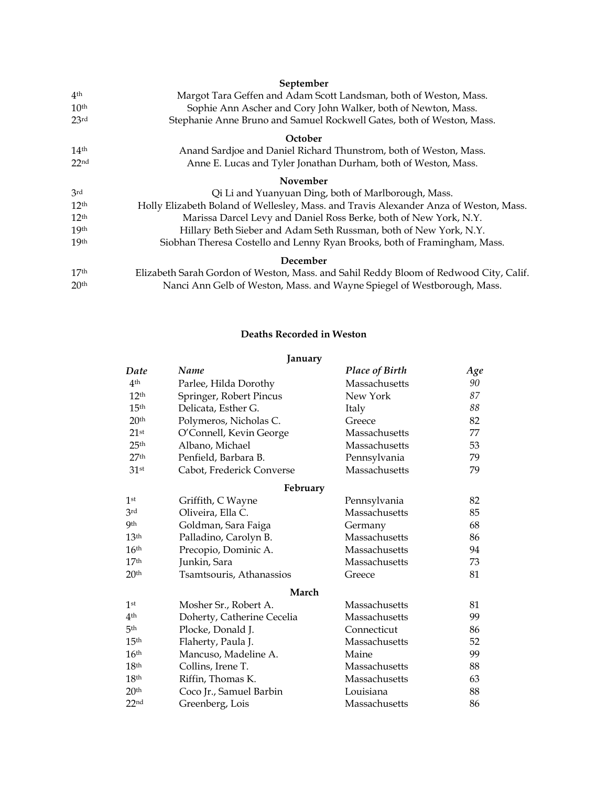|                  | September                                                                             |
|------------------|---------------------------------------------------------------------------------------|
| 4 <sup>th</sup>  | Margot Tara Geffen and Adam Scott Landsman, both of Weston, Mass.                     |
| 10 <sup>th</sup> | Sophie Ann Ascher and Cory John Walker, both of Newton, Mass.                         |
| 23 <sup>rd</sup> | Stephanie Anne Bruno and Samuel Rockwell Gates, both of Weston, Mass.                 |
|                  | October                                                                               |
| 14 <sup>th</sup> | Anand Sardjoe and Daniel Richard Thunstrom, both of Weston, Mass.                     |
| 22 <sub>nd</sub> | Anne E. Lucas and Tyler Jonathan Durham, both of Weston, Mass.                        |
|                  | November                                                                              |
| 3rd              | Qi Li and Yuanyuan Ding, both of Marlborough, Mass.                                   |
| 12 <sup>th</sup> | Holly Elizabeth Boland of Wellesley, Mass. and Travis Alexander Anza of Weston, Mass. |
| 12 <sup>th</sup> | Marissa Darcel Levy and Daniel Ross Berke, both of New York, N.Y.                     |
| 19 <sub>th</sub> | Hillary Beth Sieber and Adam Seth Russman, both of New York, N.Y.                     |
| 19 <sub>th</sub> | Siobhan Theresa Costello and Lenny Ryan Brooks, both of Framingham, Mass.             |
|                  | December                                                                              |
| 17 <sup>th</sup> | Elizabeth Sarah Gordon of Weston, Mass. and Sahil Reddy Bloom of Redwood City, Calif. |
| 20 <sup>th</sup> | Nanci Ann Gelb of Weston, Mass. and Wayne Spiegel of Westborough, Mass.               |

# **Deaths Recorded in Weston**

|                  | January                    |                       |     |
|------------------|----------------------------|-----------------------|-----|
| Date             | Name                       | <b>Place of Birth</b> | Age |
| 4 <sup>th</sup>  | Parlee, Hilda Dorothy      | Massachusetts         | 90  |
| 12 <sup>th</sup> | Springer, Robert Pincus    | New York              | 87  |
| 15 <sup>th</sup> | Delicata, Esther G.        | Italy                 | 88  |
| 20 <sup>th</sup> | Polymeros, Nicholas C.     | Greece                | 82  |
| $21$ st          | O'Connell, Kevin George    | Massachusetts         | 77  |
| 25 <sup>th</sup> | Albano, Michael            | Massachusetts         | 53  |
| 27 <sup>th</sup> | Penfield, Barbara B.       | Pennsylvania          | 79  |
| 31 <sup>st</sup> | Cabot, Frederick Converse  | Massachusetts         | 79  |
|                  | February                   |                       |     |
| 1 <sup>st</sup>  | Griffith, C Wayne          | Pennsylvania          | 82  |
| 3rd              | Oliveira, Ella C.          | Massachusetts         | 85  |
| <b>9th</b>       | Goldman, Sara Faiga        | Germany               | 68  |
| 13 <sup>th</sup> | Palladino, Carolyn B.      | Massachusetts         | 86  |
| 16 <sup>th</sup> | Precopio, Dominic A.       | Massachusetts         | 94  |
| 17 <sup>th</sup> | Junkin, Sara               | Massachusetts         | 73  |
| 20 <sup>th</sup> | Tsamtsouris, Athanassios   | Greece                | 81  |
|                  | March                      |                       |     |
| 1 <sup>st</sup>  | Mosher Sr., Robert A.      | Massachusetts         | 81  |
| 4 <sup>th</sup>  | Doherty, Catherine Cecelia | Massachusetts         | 99  |
| 5 <sup>th</sup>  | Plocke, Donald J.          | Connecticut           | 86  |
| 15 <sup>th</sup> | Flaherty, Paula J.         | Massachusetts         | 52  |
| 16 <sup>th</sup> | Mancuso, Madeline A.       | Maine                 | 99  |
| 18 <sup>th</sup> | Collins, Irene T.          | Massachusetts         | 88  |
| 18 <sup>th</sup> | Riffin, Thomas K.          | Massachusetts         | 63  |
| 20 <sup>th</sup> | Coco Jr., Samuel Barbin    | Louisiana             | 88  |
| 22 <sub>nd</sub> | Greenberg, Lois            | Massachusetts         | 86  |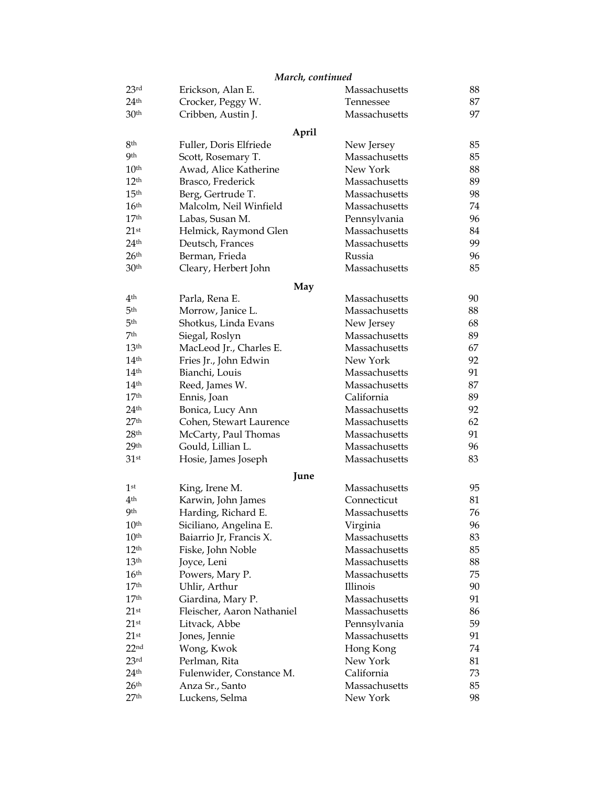# *March, continued*

| 23rd               | Erickson, Alan E.          | Massachusetts | 88 |
|--------------------|----------------------------|---------------|----|
| 24 <sup>th</sup>   | Crocker, Peggy W.          | Tennessee     | 87 |
| 30 <sup>th</sup>   | Cribben, Austin J.         | Massachusetts | 97 |
|                    | April                      |               |    |
| 8th                | Fuller, Doris Elfriede     | New Jersey    | 85 |
| <b>9th</b>         | Scott, Rosemary T.         | Massachusetts | 85 |
| 10 <sup>th</sup>   | Awad, Alice Katherine      | New York      | 88 |
| 12 <sup>th</sup>   | Brasco, Frederick          | Massachusetts | 89 |
| 15 <sup>th</sup>   | Berg, Gertrude T.          | Massachusetts | 98 |
| 16 <sup>th</sup>   | Malcolm, Neil Winfield     | Massachusetts | 74 |
| 17 <sup>th</sup>   | Labas, Susan M.            | Pennsylvania  | 96 |
| $21$ st            | Helmick, Raymond Glen      | Massachusetts | 84 |
| 24 <sup>th</sup>   | Deutsch, Frances           | Massachusetts | 99 |
| 26 <sup>th</sup>   | Berman, Frieda             | Russia        | 96 |
| 30 <sup>th</sup>   | Cleary, Herbert John       | Massachusetts | 85 |
|                    | May                        |               |    |
| 4 <sup>th</sup>    | Parla, Rena E.             | Massachusetts | 90 |
| 5 <sup>th</sup>    | Morrow, Janice L.          | Massachusetts | 88 |
| 5 <sup>th</sup>    | Shotkus, Linda Evans       | New Jersey    | 68 |
| 7th                | Siegal, Roslyn             | Massachusetts | 89 |
| 13 <sup>th</sup>   | MacLeod Jr., Charles E.    | Massachusetts | 67 |
| 14 <sup>th</sup>   | Fries Jr., John Edwin      | New York      | 92 |
| 14 <sup>th</sup>   | Bianchi, Louis             | Massachusetts | 91 |
| 14 <sup>th</sup>   | Reed, James W.             | Massachusetts | 87 |
| 17 <sup>th</sup>   | Ennis, Joan                | California    | 89 |
| 24 <sup>th</sup>   | Bonica, Lucy Ann           | Massachusetts | 92 |
| 27 <sup>th</sup>   | Cohen, Stewart Laurence    | Massachusetts | 62 |
| 28 <sup>th</sup>   | McCarty, Paul Thomas       | Massachusetts | 91 |
| 29 <sup>th</sup>   | Gould, Lillian L.          | Massachusetts | 96 |
| 31 <sup>st</sup>   | Hosie, James Joseph        | Massachusetts | 83 |
|                    | June                       |               |    |
| 1 <sup>st</sup>    | King, Irene M.             | Massachusetts | 95 |
| 4 <sup>th</sup>    | Karwin, John James         | Connecticut   | 81 |
| <b>9th</b>         | Harding, Richard E.        | Massachusetts | 76 |
| 10 <sup>th</sup>   | Siciliano, Angelina E.     | Virginia      | 96 |
| 10 <sup>th</sup>   | Baiarrio Jr, Francis X.    | Massachusetts | 83 |
| 12 <sup>th</sup>   | Fiske, John Noble          | Massachusetts | 85 |
| 13 <sup>th</sup>   | Joyce, Leni                | Massachusetts | 88 |
| 16 <sup>th</sup>   | Powers, Mary P.            | Massachusetts | 75 |
| 17 <sup>th</sup>   | Uhlir, Arthur              | Illinois      | 90 |
| 17 <sup>th</sup>   | Giardina, Mary P.          | Massachusetts | 91 |
| $21$ <sup>st</sup> | Fleischer, Aaron Nathaniel | Massachusetts | 86 |
| $21$ <sup>st</sup> | Litvack, Abbe              | Pennsylvania  | 59 |
| $21$ <sup>st</sup> | Jones, Jennie              | Massachusetts | 91 |
| 22 <sub>nd</sub>   | Wong, Kwok                 | Hong Kong     | 74 |
| 23 <sup>rd</sup>   | Perlman, Rita              | New York      | 81 |
| 24 <sup>th</sup>   | Fulenwider, Constance M.   | California    | 73 |
| 26 <sup>th</sup>   | Anza Sr., Santo            | Massachusetts | 85 |
| $27^{\rm th}$      | Luckens, Selma             | New York      | 98 |
|                    |                            |               |    |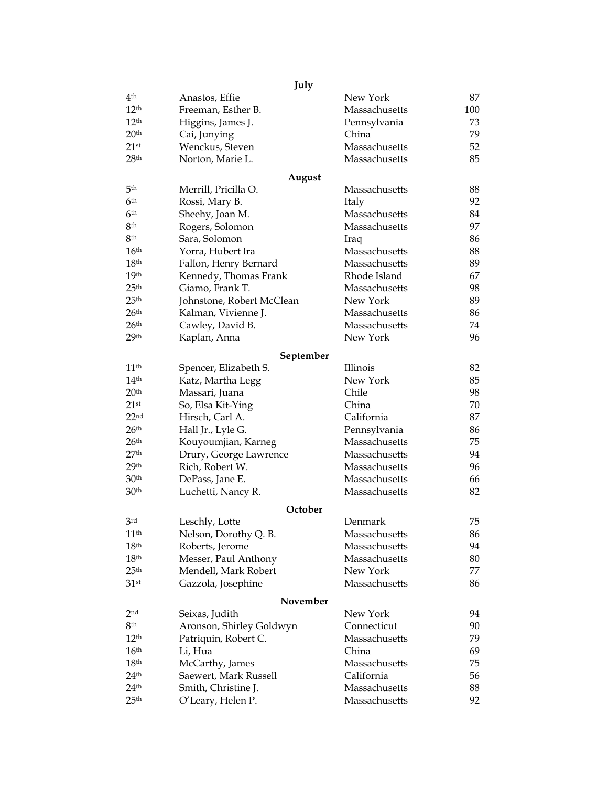|                    | July                           |                                |     |
|--------------------|--------------------------------|--------------------------------|-----|
| 4 <sup>th</sup>    | Anastos, Effie                 | New York                       | 87  |
| 12 <sup>th</sup>   | Freeman, Esther B.             | Massachusetts                  | 100 |
| 12 <sup>th</sup>   | Higgins, James J.              | Pennsylvania                   | 73  |
| 20 <sup>th</sup>   | Cai, Junying                   | China                          | 79  |
| $21$ <sup>st</sup> | Wenckus, Steven                | Massachusetts                  | 52  |
| 28 <sup>th</sup>   | Norton, Marie L.               | Massachusetts                  | 85  |
|                    |                                |                                |     |
| 5 <sup>th</sup>    | August<br>Merrill, Pricilla O. | Massachusetts                  | 88  |
| 6 <sup>th</sup>    | Rossi, Mary B.                 | Italy                          | 92  |
| 6 <sup>th</sup>    | Sheehy, Joan M.                | Massachusetts                  | 84  |
| 8 <sup>th</sup>    | Rogers, Solomon                | Massachusetts                  | 97  |
| 8 <sup>th</sup>    | Sara, Solomon                  | Iraq                           | 86  |
| 16 <sup>th</sup>   | Yorra, Hubert Ira              | Massachusetts                  | 88  |
| 18 <sup>th</sup>   | Fallon, Henry Bernard          | Massachusetts                  | 89  |
| 19 <sup>th</sup>   | Kennedy, Thomas Frank          | Rhode Island                   | 67  |
| 25 <sup>th</sup>   | Giamo, Frank T.                | Massachusetts                  | 98  |
| 25 <sup>th</sup>   |                                | New York                       | 89  |
| 26 <sup>th</sup>   | Johnstone, Robert McClean      |                                | 86  |
| 26 <sup>th</sup>   | Kalman, Vivienne J.            | Massachusetts<br>Massachusetts | 74  |
|                    | Cawley, David B.               |                                |     |
| 29 <sup>th</sup>   | Kaplan, Anna                   | New York                       | 96  |
|                    | September                      |                                |     |
| 11 <sup>th</sup>   | Spencer, Elizabeth S.          | Illinois                       | 82  |
| 14 <sup>th</sup>   | Katz, Martha Legg              | New York                       | 85  |
| 20 <sup>th</sup>   | Massari, Juana                 | Chile                          | 98  |
| $21$ <sup>st</sup> | So, Elsa Kit-Ying              | China                          | 70  |
| 22 <sub>nd</sub>   | Hirsch, Carl A.                | California                     | 87  |
| 26 <sup>th</sup>   | Hall Jr., Lyle G.              | Pennsylvania                   | 86  |
| 26 <sup>th</sup>   | Kouyoumjian, Karneg            | Massachusetts                  | 75  |
| 27 <sup>th</sup>   | Drury, George Lawrence         | Massachusetts                  | 94  |
| 29 <sup>th</sup>   | Rich, Robert W.                | Massachusetts                  | 96  |
| 30 <sup>th</sup>   | DePass, Jane E.                | Massachusetts                  | 66  |
| 30 <sup>th</sup>   | Luchetti, Nancy R.             | Massachusetts                  | 82  |
|                    | October                        |                                |     |
| 3 <sup>rd</sup>    | Leschly, Lotte                 | Denmark                        | 75  |
| 11 <sup>th</sup>   | Nelson, Dorothy Q. B.          | Massachusetts                  | 86  |
| 18 <sup>th</sup>   | Roberts, Jerome                | Massachusetts                  | 94  |
| 18 <sup>th</sup>   | Messer, Paul Anthony           | Massachusetts                  | 80  |
| 25 <sup>th</sup>   | Mendell, Mark Robert           | New York                       | 77  |
| $31$ <sup>st</sup> | Gazzola, Josephine             | Massachusetts                  | 86  |
|                    | November                       |                                |     |
| 2 <sub>nd</sub>    | Seixas, Judith                 | New York                       | 94  |
| 8th                | Aronson, Shirley Goldwyn       | Connecticut                    | 90  |
| 12 <sup>th</sup>   | Patriquin, Robert C.           | Massachusetts                  | 79  |
| 16 <sup>th</sup>   | Li, Hua                        | China                          | 69  |
| 18 <sup>th</sup>   | McCarthy, James                | Massachusetts                  | 75  |
| 24 <sup>th</sup>   | Saewert, Mark Russell          | California                     | 56  |
| 24 <sup>th</sup>   | Smith, Christine J.            | Massachusetts                  | 88  |
| 25 <sup>th</sup>   | O'Leary, Helen P.              | Massachusetts                  | 92  |
|                    |                                |                                |     |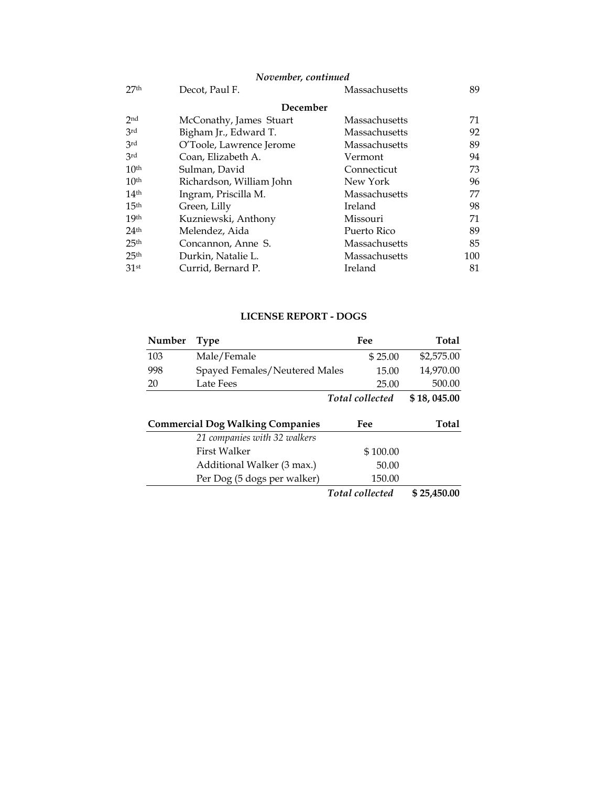# *November, continued*

| 27 <sub>th</sub> | Decot, Paul F.           | Massachusetts | 89  |
|------------------|--------------------------|---------------|-----|
|                  | December                 |               |     |
| 2nd              | McConathy, James Stuart  | Massachusetts | 71  |
| 3rd              | Bigham Jr., Edward T.    | Massachusetts | 92  |
| 3rd              | O'Toole, Lawrence Jerome | Massachusetts | 89  |
| 3rd              | Coan, Elizabeth A.       | Vermont       | 94  |
| 10 <sup>th</sup> | Sulman, David            | Connecticut   | 73  |
| 10 <sup>th</sup> | Richardson, William John | New York      | 96  |
| 14 <sup>th</sup> | Ingram, Priscilla M.     | Massachusetts | 77  |
| 15 <sup>th</sup> | Green, Lilly             | Ireland       | 98  |
| 19 <sup>th</sup> | Kuzniewski, Anthony      | Missouri      | 71  |
| 24 <sup>th</sup> | Melendez, Aida           | Puerto Rico   | 89  |
| 25 <sup>th</sup> | Concannon, Anne S.       | Massachusetts | 85  |
| 25 <sup>th</sup> | Durkin, Natalie L.       | Massachusetts | 100 |
| 31 <sup>st</sup> | Currid, Bernard P.       | Ireland       | 81  |

# **LICENSE REPORT - DOGS**

| Number                                  | <b>Type</b>                   | Fee                    | <b>Total</b> |
|-----------------------------------------|-------------------------------|------------------------|--------------|
| 103                                     | Male/Female                   | \$25.00                | \$2,575.00   |
| 998                                     | Spayed Females/Neutered Males | 15.00                  | 14,970.00    |
| 20                                      | Late Fees                     | 25.00                  | 500.00       |
|                                         |                               | <b>Total</b> collected | \$18,045.00  |
| <b>Commercial Dog Walking Companies</b> |                               |                        |              |
|                                         |                               | Fee                    | <b>Total</b> |
|                                         | 21 companies with 32 walkers  |                        |              |
|                                         | <b>First Walker</b>           | \$100.00               |              |
|                                         | Additional Walker (3 max.)    | 50.00                  |              |
|                                         | Per Dog (5 dogs per walker)   | 150.00                 |              |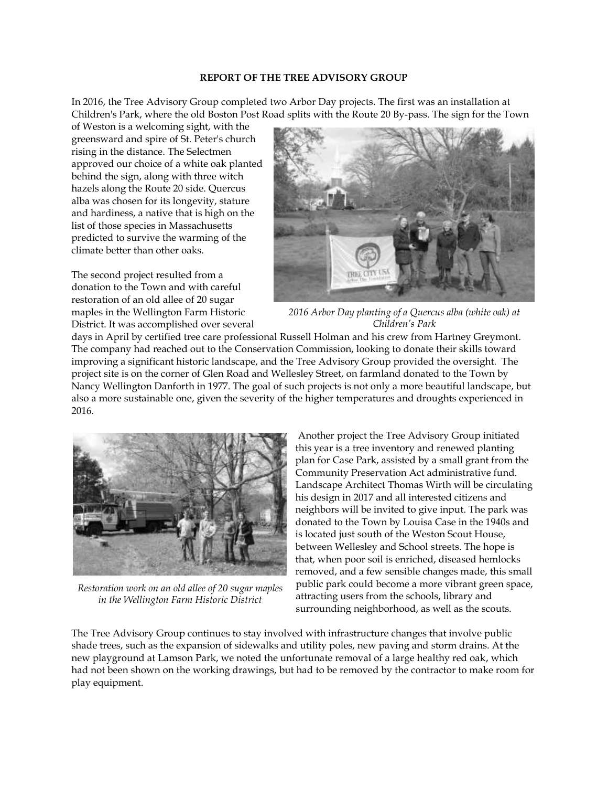#### **REPORT OF THE TREE ADVISORY GROUP**

In 2016, the Tree Advisory Group completed two Arbor Day projects. The first was an installation at Children's Park, where the old Boston Post Road splits with the Route 20 By-pass. The sign for the Town

of Weston is a welcoming sight, with the greensward and spire of St. Peter's church rising in the distance. The Selectmen approved our choice of a white oak planted behind the sign, along with three witch hazels along the Route 20 side. Quercus alba was chosen for its longevity, stature and hardiness, a native that is high on the list of those species in Massachusetts predicted to survive the warming of the climate better than other oaks.

The second project resulted from a donation to the Town and with careful restoration of an old allee of 20 sugar maples in the Wellington Farm Historic District. It was accomplished over several



*2016 Arbor Day planting of a Quercus alba (white oak) at Children's Park*

days in April by certified tree care professional Russell Holman and his crew from Hartney Greymont. The company had reached out to the Conservation Commission, looking to donate their skills toward improving a significant historic landscape, and the Tree Advisory Group provided the oversight. The project site is on the corner of Glen Road and Wellesley Street, on farmland donated to the Town by Nancy Wellington Danforth in 1977. The goal of such projects is not only a more beautiful landscape, but also a more sustainable one, given the severity of the higher temperatures and droughts experienced in 2016.



*Restoration work on an old allee of 20 sugar maples in the Wellington Farm Historic District*

Another project the Tree Advisory Group initiated this year is a tree inventory and renewed planting plan for Case Park, assisted by a small grant from the Community Preservation Act administrative fund. Landscape Architect Thomas Wirth will be circulating his design in 2017 and all interested citizens and neighbors will be invited to give input. The park was donated to the Town by Louisa Case in the 1940s and is located just south of the Weston Scout House, between Wellesley and School streets. The hope is that, when poor soil is enriched, diseased hemlocks removed, and a few sensible changes made, this small public park could become a more vibrant green space, attracting users from the schools, library and surrounding neighborhood, as well as the scouts.

The Tree Advisory Group continues to stay involved with infrastructure changes that involve public shade trees, such as the expansion of sidewalks and utility poles, new paving and storm drains. At the new playground at Lamson Park, we noted the unfortunate removal of a large healthy red oak, which had not been shown on the working drawings, but had to be removed by the contractor to make room for play equipment.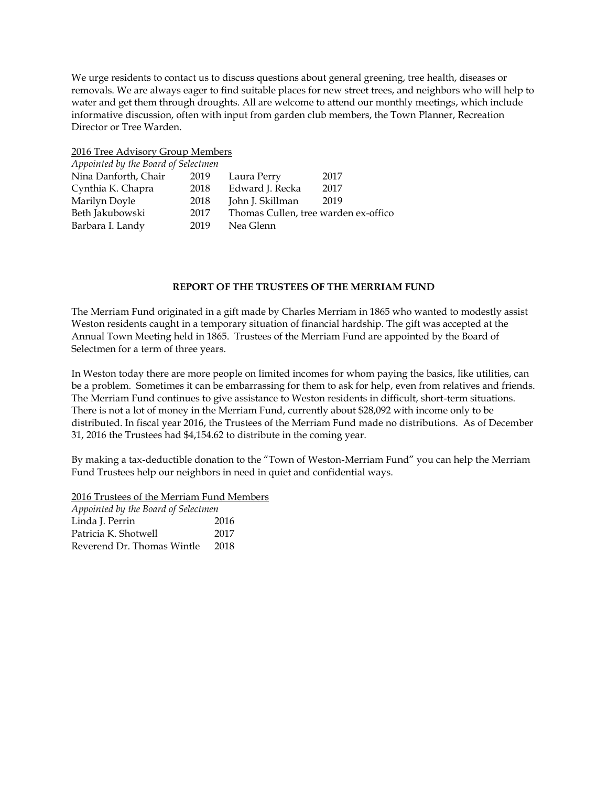We urge residents to contact us to discuss questions about general greening, tree health, diseases or removals. We are always eager to find suitable places for new street trees, and neighbors who will help to water and get them through droughts. All are welcome to attend our monthly meetings, which include informative discussion, often with input from garden club members, the Town Planner, Recreation Director or Tree Warden.

2016 Tree Advisory Group Members

| Appointed by the Board of Selectmen |      |                                      |      |  |
|-------------------------------------|------|--------------------------------------|------|--|
| Nina Danforth, Chair                | 2019 | Laura Perry                          | 2017 |  |
| Cynthia K. Chapra                   | 2018 | Edward J. Recka                      | 2017 |  |
| Marilyn Doyle                       | 2018 | John J. Skillman                     | 2019 |  |
| Beth Jakubowski                     | 2017 | Thomas Cullen, tree warden ex-offico |      |  |
| Barbara I. Landy                    | 2019 | Nea Glenn                            |      |  |
|                                     |      |                                      |      |  |

## **REPORT OF THE TRUSTEES OF THE MERRIAM FUND**

The Merriam Fund originated in a gift made by Charles Merriam in 1865 who wanted to modestly assist Weston residents caught in a temporary situation of financial hardship. The gift was accepted at the Annual Town Meeting held in 1865. Trustees of the Merriam Fund are appointed by the Board of Selectmen for a term of three years.

In Weston today there are more people on limited incomes for whom paying the basics, like utilities, can be a problem. Sometimes it can be embarrassing for them to ask for help, even from relatives and friends. The Merriam Fund continues to give assistance to Weston residents in difficult, short-term situations. There is not a lot of money in the Merriam Fund, currently about \$28,092 with income only to be distributed. In fiscal year 2016, the Trustees of the Merriam Fund made no distributions. As of December 31, 2016 the Trustees had \$4,154.62 to distribute in the coming year.

By making a tax-deductible donation to the "Town of Weston-Merriam Fund" you can help the Merriam Fund Trustees help our neighbors in need in quiet and confidential ways.

2016 Trustees of the Merriam Fund Members

*Appointed by the Board of Selectmen* Linda J. Perrin 2016 Patricia K. Shotwell 2017 Reverend Dr. Thomas Wintle 2018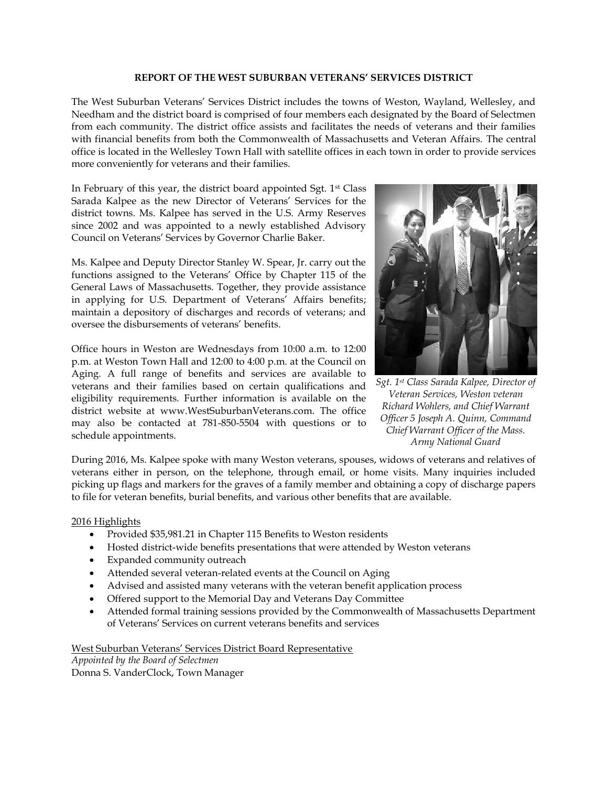#### **REPORT OF THE WEST SUBURBAN VETERANS' SERVICES DISTRICT**

The West Suburban Veterans' Services District includes the towns of Weston, Wayland, Wellesley, and Needham and the district board is comprised of four members each designated by the Board of Selectmen from each community. The district office assists and facilitates the needs of veterans and their families with financial benefits from both the Commonwealth of Massachusetts and Veteran Affairs. The central office is located in the Wellesley Town Hall with satellite offices in each town in order to provide services more conveniently for veterans and their families.

In February of this year, the district board appointed Sgt. 1st Class Sarada Kalpee as the new Director of Veterans' Services for the district towns. Ms. Kalpee has served in the U.S. Army Reserves since 2002 and was appointed to a newly established Advisory Council on Veterans' Services by Governor Charlie Baker.

Ms. Kalpee and Deputy Director Stanley W. Spear, Jr. carry out the functions assigned to the Veterans' Office by Chapter 115 of the General Laws of Massachusetts. Together, they provide assistance in applying for U.S. Department of Veterans' Affairs benefits; maintain a depository of discharges and records of veterans; and oversee the disbursements of veterans' benefits.

Office hours in Weston are Wednesdays from 10:00 a.m. to 12:00 p.m. at Weston Town Hall and 12:00 to 4:00 p.m. at the Council on Aging. A full range of benefits and services are available to veterans and their families based on certain qualifications and eligibility requirements. Further information is available on the district website at www.WestSuburbanVeterans.com. The office may also be contacted at 781-850-5504 with questions or to schedule appointments.



*Sgt. 1st Class Sarada Kalpee, Director of Veteran Services, Weston veteran Richard Wohlers, and Chief Warrant Officer 5 Joseph A. Quinn, Command Chief Warrant Officer of the Mass. Army National Guard*

During 2016, Ms. Kalpee spoke with many Weston veterans, spouses, widows of veterans and relatives of veterans either in person, on the telephone, through email, or home visits. Many inquiries included picking up flags and markers for the graves of a family member and obtaining a copy of discharge papers to file for veteran benefits, burial benefits, and various other benefits that are available.

## 2016 Highlights

- Provided \$35,981.21 in Chapter 115 Benefits to Weston residents
- Hosted district-wide benefits presentations that were attended by Weston veterans
- Expanded community outreach
- Attended several veteran-related events at the Council on Aging
- Advised and assisted many veterans with the veteran benefit application process
- Offered support to the Memorial Day and Veterans Day Committee
- Attended formal training sessions provided by the Commonwealth of Massachusetts Department of Veterans' Services on current veterans benefits and services

West Suburban Veterans' Services District Board Representative

*Appointed by the Board of Selectmen* Donna S. VanderClock, Town Manager